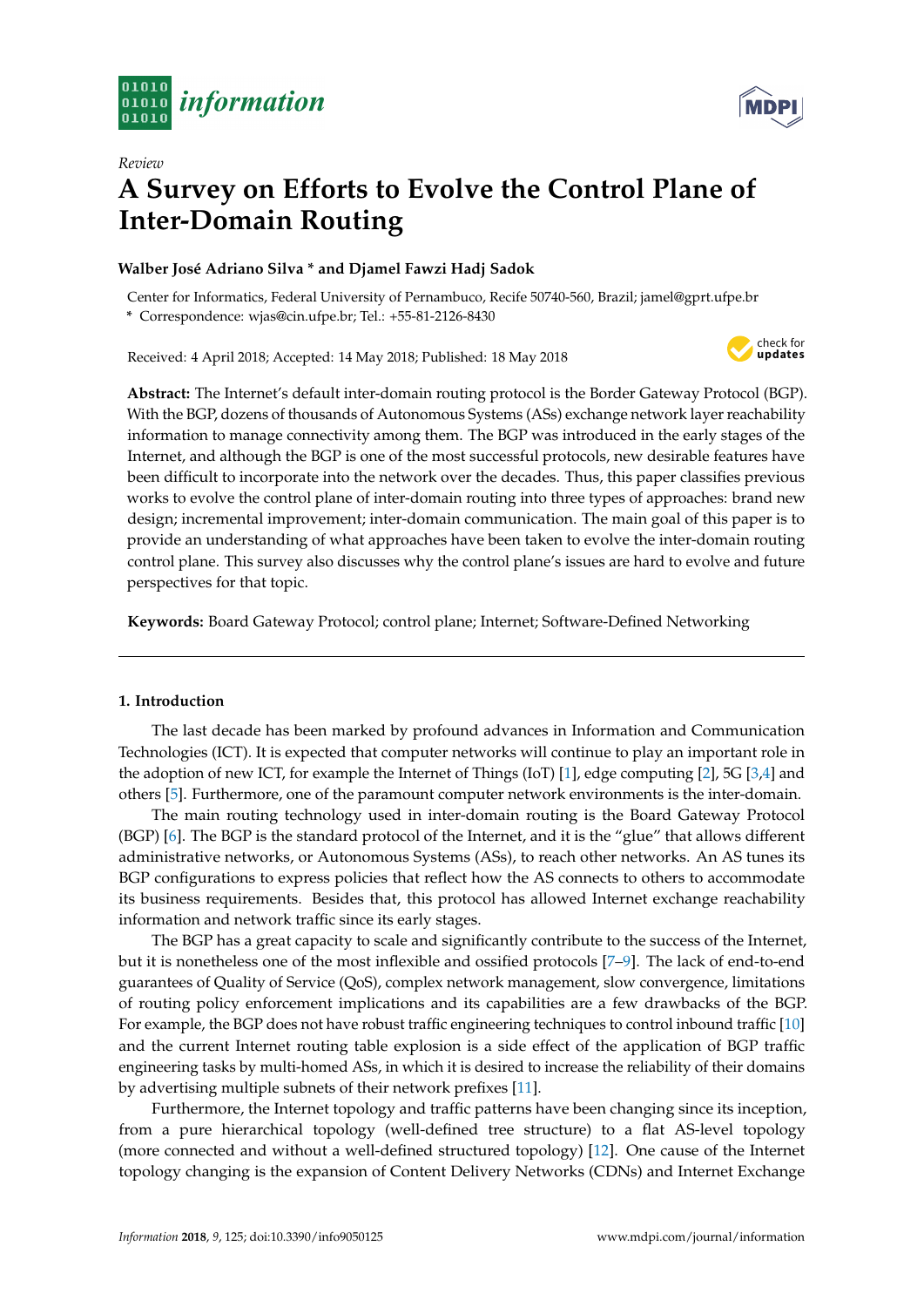



# *Review* **A Survey on Efforts to Evolve the Control Plane of Inter-Domain Routing**

# **Walber José Adriano Silva \* and Djamel Fawzi Hadj Sadok**

Center for Informatics, Federal University of Pernambuco, Recife 50740-560, Brazil; jamel@gprt.ufpe.br **\*** Correspondence: wjas@cin.ufpe.br; Tel.: +55-81-2126-8430

Received: 4 April 2018; Accepted: 14 May 2018; Published: 18 May 2018



**Abstract:** The Internet's default inter-domain routing protocol is the Border Gateway Protocol (BGP). With the BGP, dozens of thousands of Autonomous Systems (ASs) exchange network layer reachability information to manage connectivity among them. The BGP was introduced in the early stages of the Internet, and although the BGP is one of the most successful protocols, new desirable features have been difficult to incorporate into the network over the decades. Thus, this paper classifies previous works to evolve the control plane of inter-domain routing into three types of approaches: brand new design; incremental improvement; inter-domain communication. The main goal of this paper is to provide an understanding of what approaches have been taken to evolve the inter-domain routing control plane. This survey also discusses why the control plane's issues are hard to evolve and future perspectives for that topic.

**Keywords:** Board Gateway Protocol; control plane; Internet; Software-Defined Networking

# **1. Introduction**

The last decade has been marked by profound advances in Information and Communication Technologies (ICT). It is expected that computer networks will continue to play an important role in the adoption of new ICT, for example the Internet of Things (IoT) [\[1\]](#page-20-0), edge computing [\[2\]](#page-21-0), 5G [\[3](#page-21-1)[,4\]](#page-21-2) and others [\[5\]](#page-21-3). Furthermore, one of the paramount computer network environments is the inter-domain.

The main routing technology used in inter-domain routing is the Board Gateway Protocol (BGP) [\[6\]](#page-21-4). The BGP is the standard protocol of the Internet, and it is the "glue" that allows different administrative networks, or Autonomous Systems (ASs), to reach other networks. An AS tunes its BGP configurations to express policies that reflect how the AS connects to others to accommodate its business requirements. Besides that, this protocol has allowed Internet exchange reachability information and network traffic since its early stages.

The BGP has a great capacity to scale and significantly contribute to the success of the Internet, but it is nonetheless one of the most inflexible and ossified protocols [\[7–](#page-21-5)[9\]](#page-21-6). The lack of end-to-end guarantees of Quality of Service (QoS), complex network management, slow convergence, limitations of routing policy enforcement implications and its capabilities are a few drawbacks of the BGP. For example, the BGP does not have robust traffic engineering techniques to control inbound traffic [\[10\]](#page-21-7) and the current Internet routing table explosion is a side effect of the application of BGP traffic engineering tasks by multi-homed ASs, in which it is desired to increase the reliability of their domains by advertising multiple subnets of their network prefixes [\[11\]](#page-21-8).

Furthermore, the Internet topology and traffic patterns have been changing since its inception, from a pure hierarchical topology (well-defined tree structure) to a flat AS-level topology (more connected and without a well-defined structured topology) [\[12\]](#page-21-9). One cause of the Internet topology changing is the expansion of Content Delivery Networks (CDNs) and Internet Exchange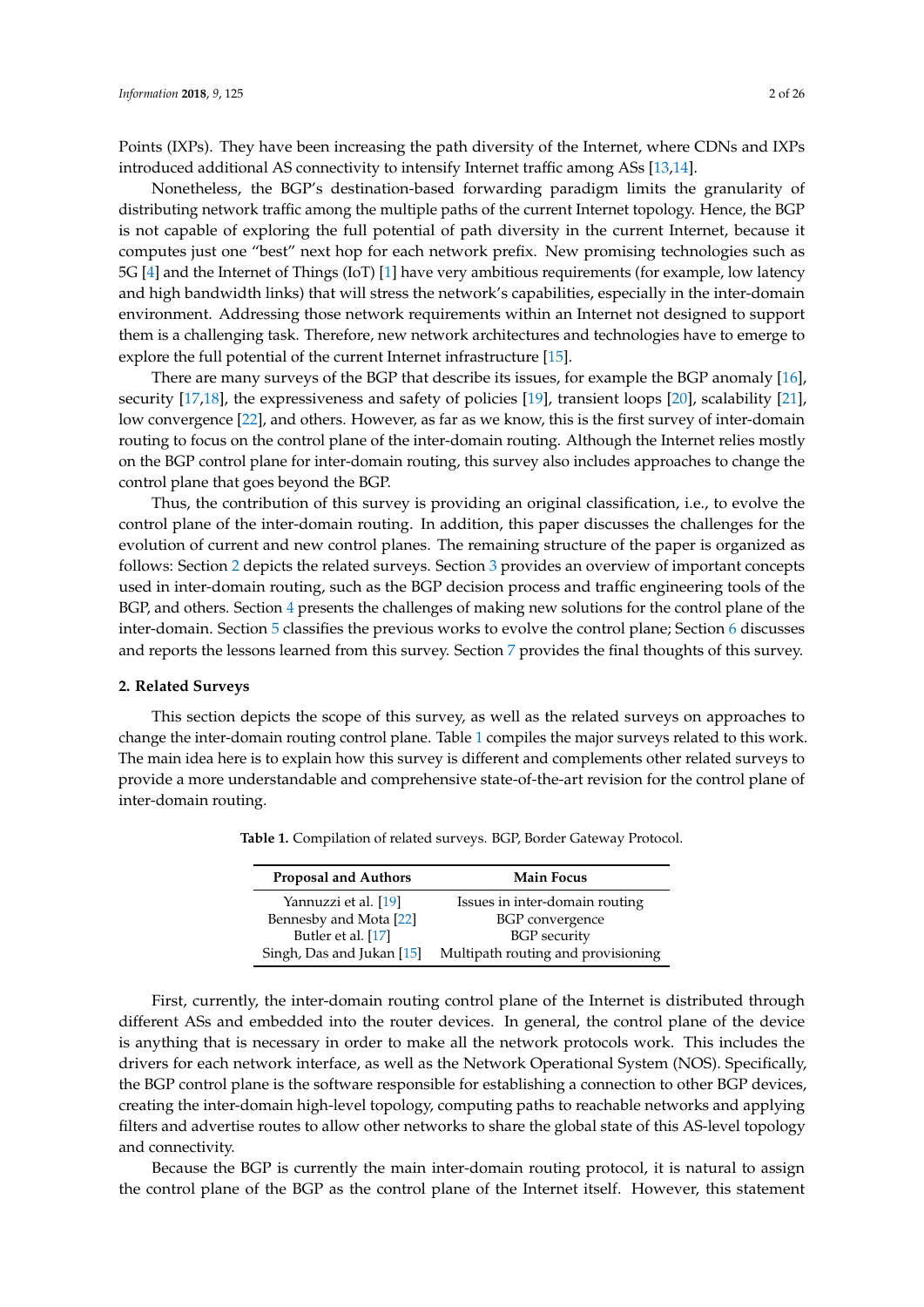Points (IXPs). They have been increasing the path diversity of the Internet, where CDNs and IXPs introduced additional AS connectivity to intensify Internet traffic among ASs [\[13,](#page-21-10)[14\]](#page-21-11).

Nonetheless, the BGP's destination-based forwarding paradigm limits the granularity of distributing network traffic among the multiple paths of the current Internet topology. Hence, the BGP is not capable of exploring the full potential of path diversity in the current Internet, because it computes just one "best" next hop for each network prefix. New promising technologies such as 5G [\[4\]](#page-21-2) and the Internet of Things (IoT) [\[1\]](#page-20-0) have very ambitious requirements (for example, low latency and high bandwidth links) that will stress the network's capabilities, especially in the inter-domain environment. Addressing those network requirements within an Internet not designed to support them is a challenging task. Therefore, new network architectures and technologies have to emerge to explore the full potential of the current Internet infrastructure [\[15\]](#page-21-12).

There are many surveys of the BGP that describe its issues, for example the BGP anomaly [\[16\]](#page-21-13), security [\[17](#page-21-14)[,18\]](#page-21-15), the expressiveness and safety of policies [\[19\]](#page-21-16), transient loops [\[20\]](#page-21-17), scalability [\[21\]](#page-21-18), low convergence [\[22\]](#page-21-19), and others. However, as far as we know, this is the first survey of inter-domain routing to focus on the control plane of the inter-domain routing. Although the Internet relies mostly on the BGP control plane for inter-domain routing, this survey also includes approaches to change the control plane that goes beyond the BGP.

Thus, the contribution of this survey is providing an original classification, i.e., to evolve the control plane of the inter-domain routing. In addition, this paper discusses the challenges for the evolution of current and new control planes. The remaining structure of the paper is organized as follows: Section [2](#page-1-0) depicts the related surveys. Section [3](#page-3-0) provides an overview of important concepts used in inter-domain routing, such as the BGP decision process and traffic engineering tools of the BGP, and others. Section [4](#page-6-0) presents the challenges of making new solutions for the control plane of the inter-domain. Section [5](#page-10-0) classifies the previous works to evolve the control plane; Section [6](#page-18-0) discusses and reports the lessons learned from this survey. Section [7](#page-20-1) provides the final thoughts of this survey.

#### <span id="page-1-0"></span>**2. Related Surveys**

<span id="page-1-1"></span>This section depicts the scope of this survey, as well as the related surveys on approaches to change the inter-domain routing control plane. Table [1](#page-1-1) compiles the major surveys related to this work. The main idea here is to explain how this survey is different and complements other related surveys to provide a more understandable and comprehensive state-of-the-art revision for the control plane of inter-domain routing.

| <b>Proposal and Authors</b> | <b>Main Focus</b>                  |  |  |
|-----------------------------|------------------------------------|--|--|
| Yannuzzi et al. [19]        | Issues in inter-domain routing     |  |  |
| Bennesby and Mota [22]      | BGP convergence                    |  |  |
| Butler et al. [17]          | <b>BGP</b> security                |  |  |
| Singh, Das and Jukan [15]   | Multipath routing and provisioning |  |  |

**Table 1.** Compilation of related surveys. BGP, Border Gateway Protocol.

First, currently, the inter-domain routing control plane of the Internet is distributed through different ASs and embedded into the router devices. In general, the control plane of the device is anything that is necessary in order to make all the network protocols work. This includes the drivers for each network interface, as well as the Network Operational System (NOS). Specifically, the BGP control plane is the software responsible for establishing a connection to other BGP devices, creating the inter-domain high-level topology, computing paths to reachable networks and applying filters and advertise routes to allow other networks to share the global state of this AS-level topology and connectivity.

Because the BGP is currently the main inter-domain routing protocol, it is natural to assign the control plane of the BGP as the control plane of the Internet itself. However, this statement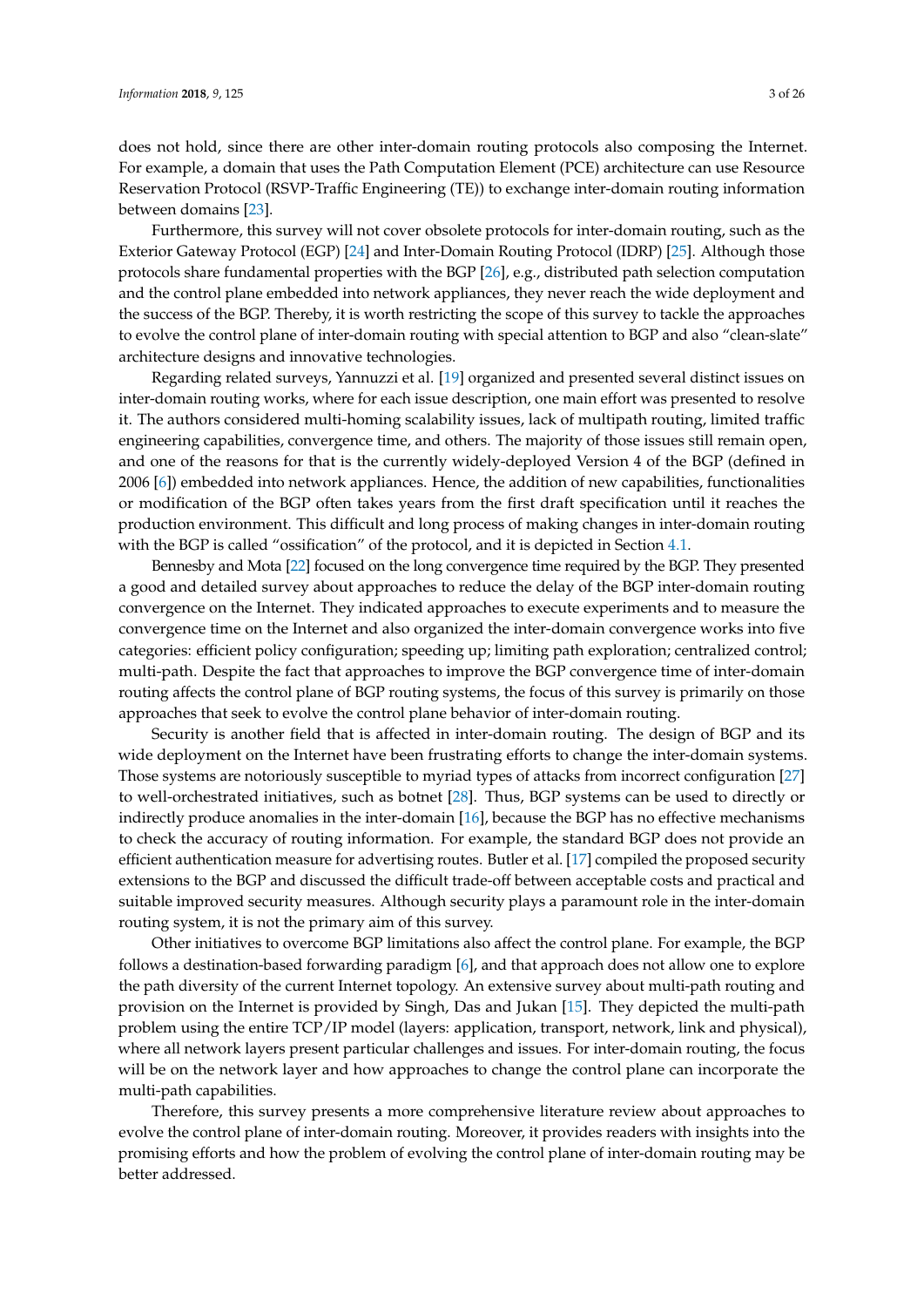does not hold, since there are other inter-domain routing protocols also composing the Internet. For example, a domain that uses the Path Computation Element (PCE) architecture can use Resource Reservation Protocol (RSVP-Traffic Engineering (TE)) to exchange inter-domain routing information between domains [\[23\]](#page-21-20).

Furthermore, this survey will not cover obsolete protocols for inter-domain routing, such as the Exterior Gateway Protocol (EGP) [\[24\]](#page-21-21) and Inter-Domain Routing Protocol (IDRP) [\[25\]](#page-21-22). Although those protocols share fundamental properties with the BGP [\[26\]](#page-22-0), e.g., distributed path selection computation and the control plane embedded into network appliances, they never reach the wide deployment and the success of the BGP. Thereby, it is worth restricting the scope of this survey to tackle the approaches to evolve the control plane of inter-domain routing with special attention to BGP and also "clean-slate" architecture designs and innovative technologies.

Regarding related surveys, Yannuzzi et al. [\[19\]](#page-21-16) organized and presented several distinct issues on inter-domain routing works, where for each issue description, one main effort was presented to resolve it. The authors considered multi-homing scalability issues, lack of multipath routing, limited traffic engineering capabilities, convergence time, and others. The majority of those issues still remain open, and one of the reasons for that is the currently widely-deployed Version 4 of the BGP (defined in 2006 [\[6\]](#page-21-4)) embedded into network appliances. Hence, the addition of new capabilities, functionalities or modification of the BGP often takes years from the first draft specification until it reaches the production environment. This difficult and long process of making changes in inter-domain routing with the BGP is called "ossification" of the protocol, and it is depicted in Section [4.1.](#page-6-1)

Bennesby and Mota [\[22\]](#page-21-19) focused on the long convergence time required by the BGP. They presented a good and detailed survey about approaches to reduce the delay of the BGP inter-domain routing convergence on the Internet. They indicated approaches to execute experiments and to measure the convergence time on the Internet and also organized the inter-domain convergence works into five categories: efficient policy configuration; speeding up; limiting path exploration; centralized control; multi-path. Despite the fact that approaches to improve the BGP convergence time of inter-domain routing affects the control plane of BGP routing systems, the focus of this survey is primarily on those approaches that seek to evolve the control plane behavior of inter-domain routing.

Security is another field that is affected in inter-domain routing. The design of BGP and its wide deployment on the Internet have been frustrating efforts to change the inter-domain systems. Those systems are notoriously susceptible to myriad types of attacks from incorrect configuration [\[27\]](#page-22-1) to well-orchestrated initiatives, such as botnet [\[28\]](#page-22-2). Thus, BGP systems can be used to directly or indirectly produce anomalies in the inter-domain [\[16\]](#page-21-13), because the BGP has no effective mechanisms to check the accuracy of routing information. For example, the standard BGP does not provide an efficient authentication measure for advertising routes. Butler et al. [\[17\]](#page-21-14) compiled the proposed security extensions to the BGP and discussed the difficult trade-off between acceptable costs and practical and suitable improved security measures. Although security plays a paramount role in the inter-domain routing system, it is not the primary aim of this survey.

Other initiatives to overcome BGP limitations also affect the control plane. For example, the BGP follows a destination-based forwarding paradigm [\[6\]](#page-21-4), and that approach does not allow one to explore the path diversity of the current Internet topology. An extensive survey about multi-path routing and provision on the Internet is provided by Singh, Das and Jukan [\[15\]](#page-21-12). They depicted the multi-path problem using the entire TCP/IP model (layers: application, transport, network, link and physical), where all network layers present particular challenges and issues. For inter-domain routing, the focus will be on the network layer and how approaches to change the control plane can incorporate the multi-path capabilities.

Therefore, this survey presents a more comprehensive literature review about approaches to evolve the control plane of inter-domain routing. Moreover, it provides readers with insights into the promising efforts and how the problem of evolving the control plane of inter-domain routing may be better addressed.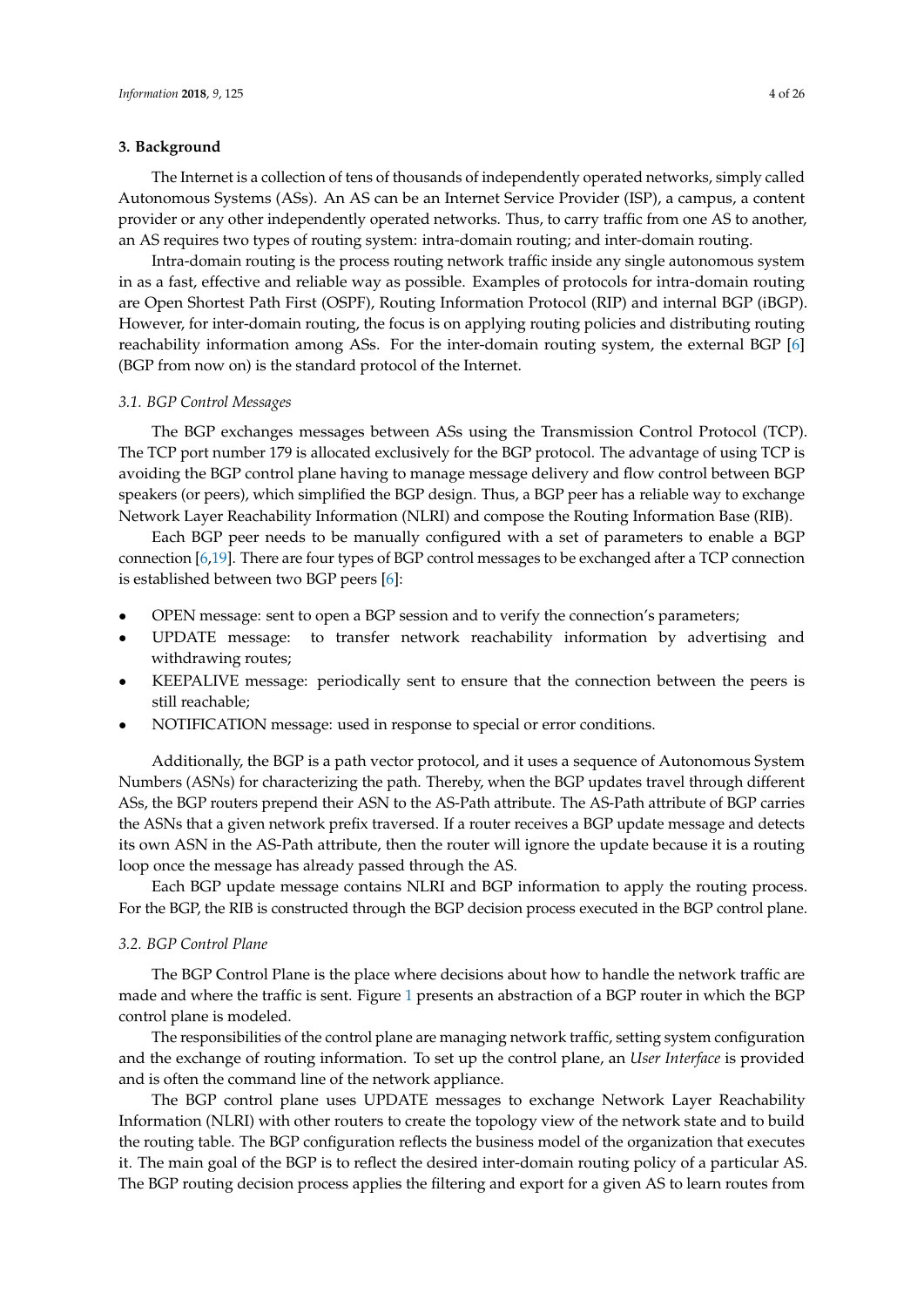## <span id="page-3-0"></span>**3. Background**

The Internet is a collection of tens of thousands of independently operated networks, simply called Autonomous Systems (ASs). An AS can be an Internet Service Provider (ISP), a campus, a content provider or any other independently operated networks. Thus, to carry traffic from one AS to another, an AS requires two types of routing system: intra-domain routing; and inter-domain routing.

Intra-domain routing is the process routing network traffic inside any single autonomous system in as a fast, effective and reliable way as possible. Examples of protocols for intra-domain routing are Open Shortest Path First (OSPF), Routing Information Protocol (RIP) and internal BGP (iBGP). However, for inter-domain routing, the focus is on applying routing policies and distributing routing reachability information among ASs. For the inter-domain routing system, the external BGP [\[6\]](#page-21-4) (BGP from now on) is the standard protocol of the Internet.

#### *3.1. BGP Control Messages*

The BGP exchanges messages between ASs using the Transmission Control Protocol (TCP). The TCP port number 179 is allocated exclusively for the BGP protocol. The advantage of using TCP is avoiding the BGP control plane having to manage message delivery and flow control between BGP speakers (or peers), which simplified the BGP design. Thus, a BGP peer has a reliable way to exchange Network Layer Reachability Information (NLRI) and compose the Routing Information Base (RIB).

Each BGP peer needs to be manually configured with a set of parameters to enable a BGP connection [\[6](#page-21-4)[,19\]](#page-21-16). There are four types of BGP control messages to be exchanged after a TCP connection is established between two BGP peers [\[6\]](#page-21-4):

- OPEN message: sent to open a BGP session and to verify the connection's parameters;
- UPDATE message: to transfer network reachability information by advertising and withdrawing routes;
- KEEPALIVE message: periodically sent to ensure that the connection between the peers is still reachable;
- NOTIFICATION message: used in response to special or error conditions.

Additionally, the BGP is a path vector protocol, and it uses a sequence of Autonomous System Numbers (ASNs) for characterizing the path. Thereby, when the BGP updates travel through different ASs, the BGP routers prepend their ASN to the AS-Path attribute. The AS-Path attribute of BGP carries the ASNs that a given network prefix traversed. If a router receives a BGP update message and detects its own ASN in the AS-Path attribute, then the router will ignore the update because it is a routing loop once the message has already passed through the AS.

Each BGP update message contains NLRI and BGP information to apply the routing process. For the BGP, the RIB is constructed through the BGP decision process executed in the BGP control plane.

#### <span id="page-3-1"></span>*3.2. BGP Control Plane*

The BGP Control Plane is the place where decisions about how to handle the network traffic are made and where the traffic is sent. Figure [1](#page-4-0) presents an abstraction of a BGP router in which the BGP control plane is modeled.

The responsibilities of the control plane are managing network traffic, setting system configuration and the exchange of routing information. To set up the control plane, an *User Interface* is provided and is often the command line of the network appliance.

The BGP control plane uses UPDATE messages to exchange Network Layer Reachability Information (NLRI) with other routers to create the topology view of the network state and to build the routing table. The BGP configuration reflects the business model of the organization that executes it. The main goal of the BGP is to reflect the desired inter-domain routing policy of a particular AS. The BGP routing decision process applies the filtering and export for a given AS to learn routes from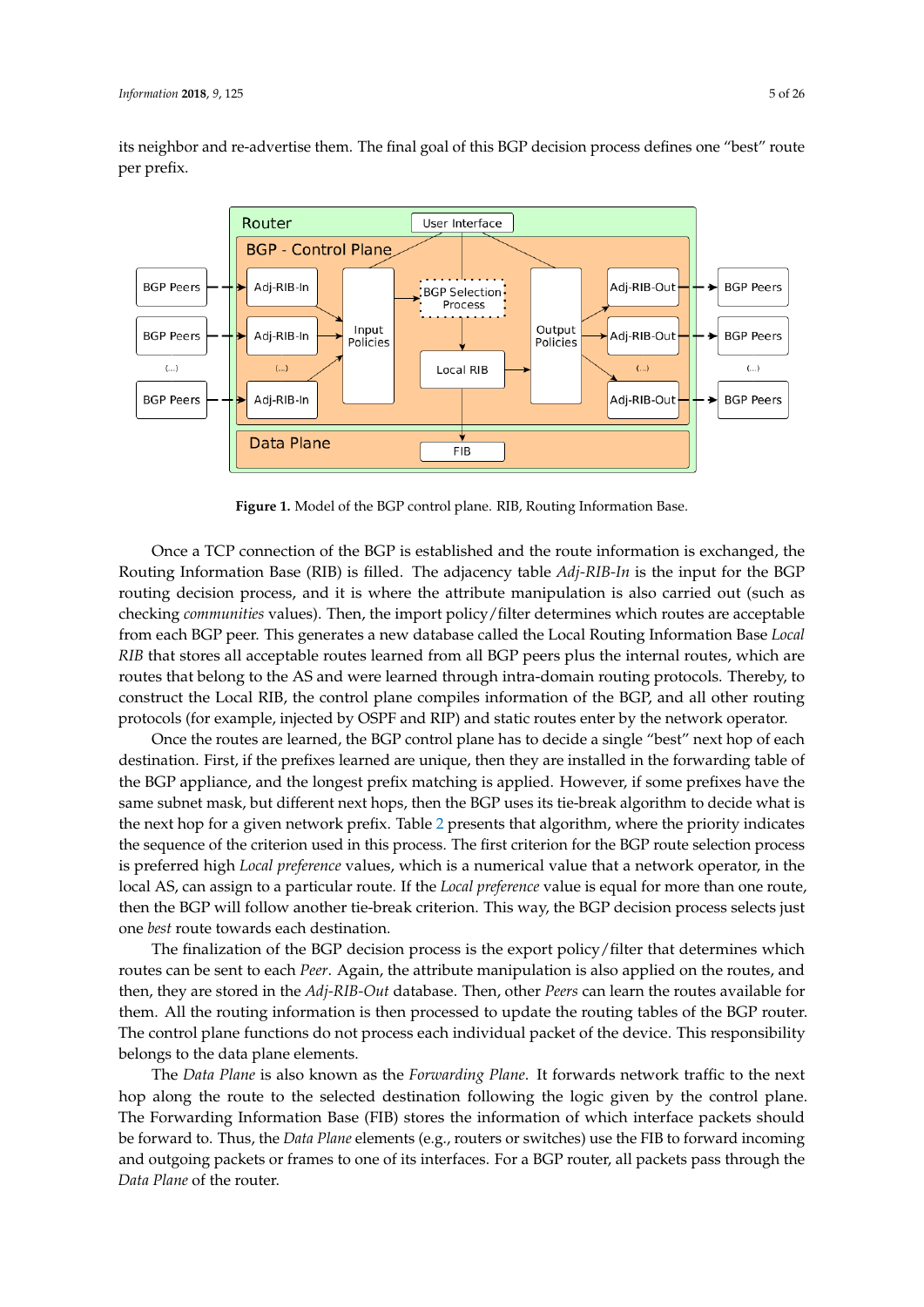its neighbor and re-advertise them. The final goal of this BGP decision process defines one "best" route per prefix.

<span id="page-4-0"></span>

**Figure 1.** Model of the BGP control plane. RIB, Routing Information Base.

Once a TCP connection of the BGP is established and the route information is exchanged, the Routing Information Base (RIB) is filled. The adjacency table *Adj-RIB-In* is the input for the BGP routing decision process, and it is where the attribute manipulation is also carried out (such as checking *communities* values). Then, the import policy/filter determines which routes are acceptable from each BGP peer. This generates a new database called the Local Routing Information Base *Local RIB* that stores all acceptable routes learned from all BGP peers plus the internal routes, which are routes that belong to the AS and were learned through intra-domain routing protocols. Thereby, to construct the Local RIB, the control plane compiles information of the BGP, and all other routing protocols (for example, injected by OSPF and RIP) and static routes enter by the network operator.

Once the routes are learned, the BGP control plane has to decide a single "best" next hop of each destination. First, if the prefixes learned are unique, then they are installed in the forwarding table of the BGP appliance, and the longest prefix matching is applied. However, if some prefixes have the same subnet mask, but different next hops, then the BGP uses its tie-break algorithm to decide what is the next hop for a given network prefix. Table [2](#page-5-0) presents that algorithm, where the priority indicates the sequence of the criterion used in this process. The first criterion for the BGP route selection process is preferred high *Local preference* values, which is a numerical value that a network operator, in the local AS, can assign to a particular route. If the *Local preference* value is equal for more than one route, then the BGP will follow another tie-break criterion. This way, the BGP decision process selects just one *best* route towards each destination.

The finalization of the BGP decision process is the export policy/filter that determines which routes can be sent to each *Peer*. Again, the attribute manipulation is also applied on the routes, and then, they are stored in the *Adj-RIB-Out* database. Then, other *Peers* can learn the routes available for them. All the routing information is then processed to update the routing tables of the BGP router. The control plane functions do not process each individual packet of the device. This responsibility belongs to the data plane elements.

The *Data Plane* is also known as the *Forwarding Plane*. It forwards network traffic to the next hop along the route to the selected destination following the logic given by the control plane. The Forwarding Information Base (FIB) stores the information of which interface packets should be forward to. Thus, the *Data Plane* elements (e.g., routers or switches) use the FIB to forward incoming and outgoing packets or frames to one of its interfaces. For a BGP router, all packets pass through the *Data Plane* of the router.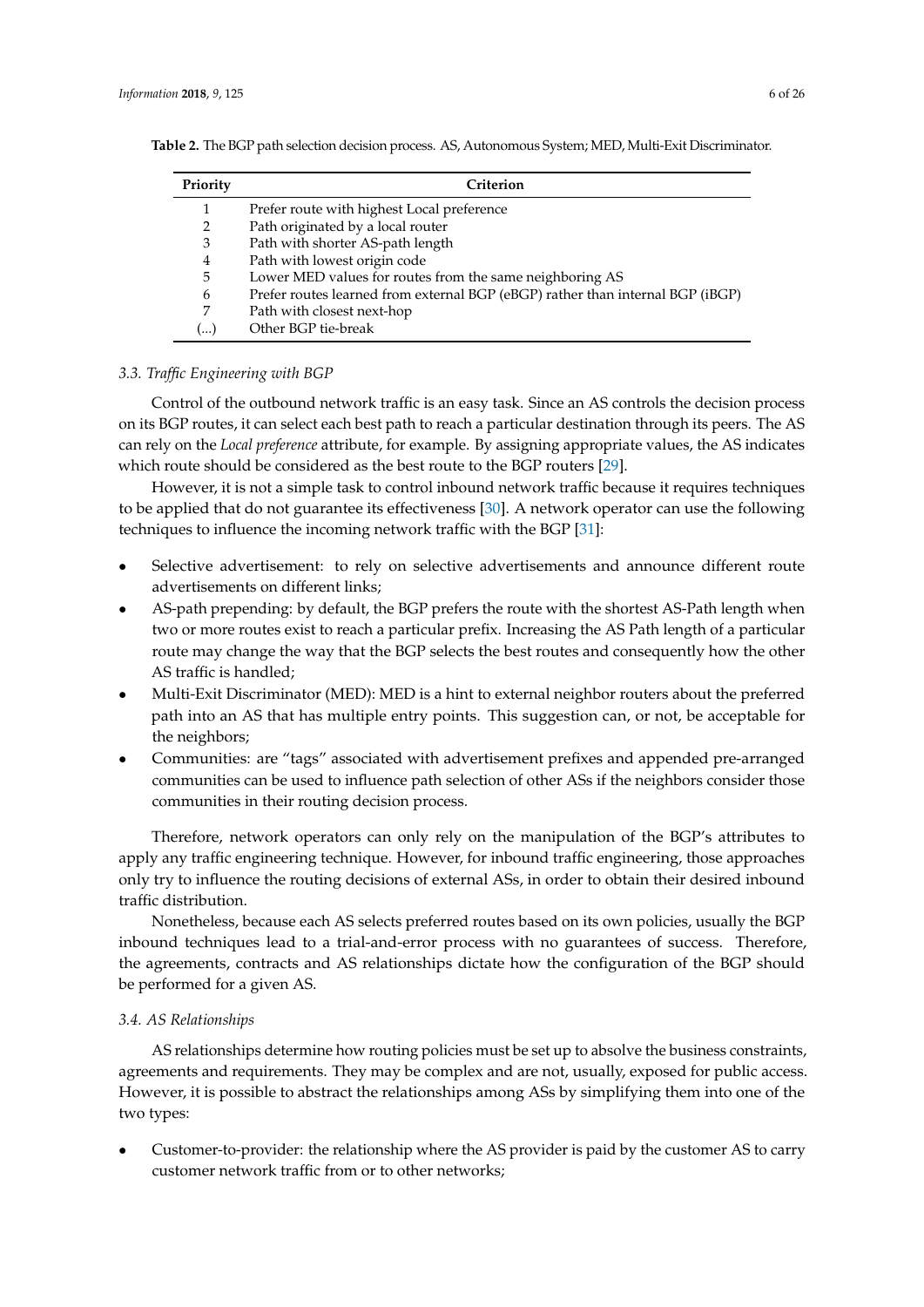| Priority | Criterion                                                                      |
|----------|--------------------------------------------------------------------------------|
|          | Prefer route with highest Local preference                                     |
| 2        | Path originated by a local router                                              |
| 3        | Path with shorter AS-path length                                               |
| 4        | Path with lowest origin code                                                   |
| 5        | Lower MED values for routes from the same neighboring AS                       |
| 6        | Prefer routes learned from external BGP (eBGP) rather than internal BGP (iBGP) |
| 7        | Path with closest next-hop                                                     |
| (…)      | Other BGP tie-break                                                            |

<span id="page-5-0"></span>**Table 2.** The BGP path selection decision process. AS, Autonomous System; MED, Multi-Exit Discriminator.

## *3.3. Traffic Engineering with BGP*

Control of the outbound network traffic is an easy task. Since an AS controls the decision process on its BGP routes, it can select each best path to reach a particular destination through its peers. The AS can rely on the *Local preference* attribute, for example. By assigning appropriate values, the AS indicates which route should be considered as the best route to the BGP routers [\[29\]](#page-22-3).

However, it is not a simple task to control inbound network traffic because it requires techniques to be applied that do not guarantee its effectiveness [\[30\]](#page-22-4). A network operator can use the following techniques to influence the incoming network traffic with the BGP [\[31\]](#page-22-5):

- Selective advertisement: to rely on selective advertisements and announce different route advertisements on different links;
- AS-path prepending: by default, the BGP prefers the route with the shortest AS-Path length when two or more routes exist to reach a particular prefix. Increasing the AS Path length of a particular route may change the way that the BGP selects the best routes and consequently how the other AS traffic is handled;
- Multi-Exit Discriminator (MED): MED is a hint to external neighbor routers about the preferred path into an AS that has multiple entry points. This suggestion can, or not, be acceptable for the neighbors;
- Communities: are "tags" associated with advertisement prefixes and appended pre-arranged communities can be used to influence path selection of other ASs if the neighbors consider those communities in their routing decision process.

Therefore, network operators can only rely on the manipulation of the BGP's attributes to apply any traffic engineering technique. However, for inbound traffic engineering, those approaches only try to influence the routing decisions of external ASs, in order to obtain their desired inbound traffic distribution.

Nonetheless, because each AS selects preferred routes based on its own policies, usually the BGP inbound techniques lead to a trial-and-error process with no guarantees of success. Therefore, the agreements, contracts and AS relationships dictate how the configuration of the BGP should be performed for a given AS.

#### *3.4. AS Relationships*

AS relationships determine how routing policies must be set up to absolve the business constraints, agreements and requirements. They may be complex and are not, usually, exposed for public access. However, it is possible to abstract the relationships among ASs by simplifying them into one of the two types:

• Customer-to-provider: the relationship where the AS provider is paid by the customer AS to carry customer network traffic from or to other networks;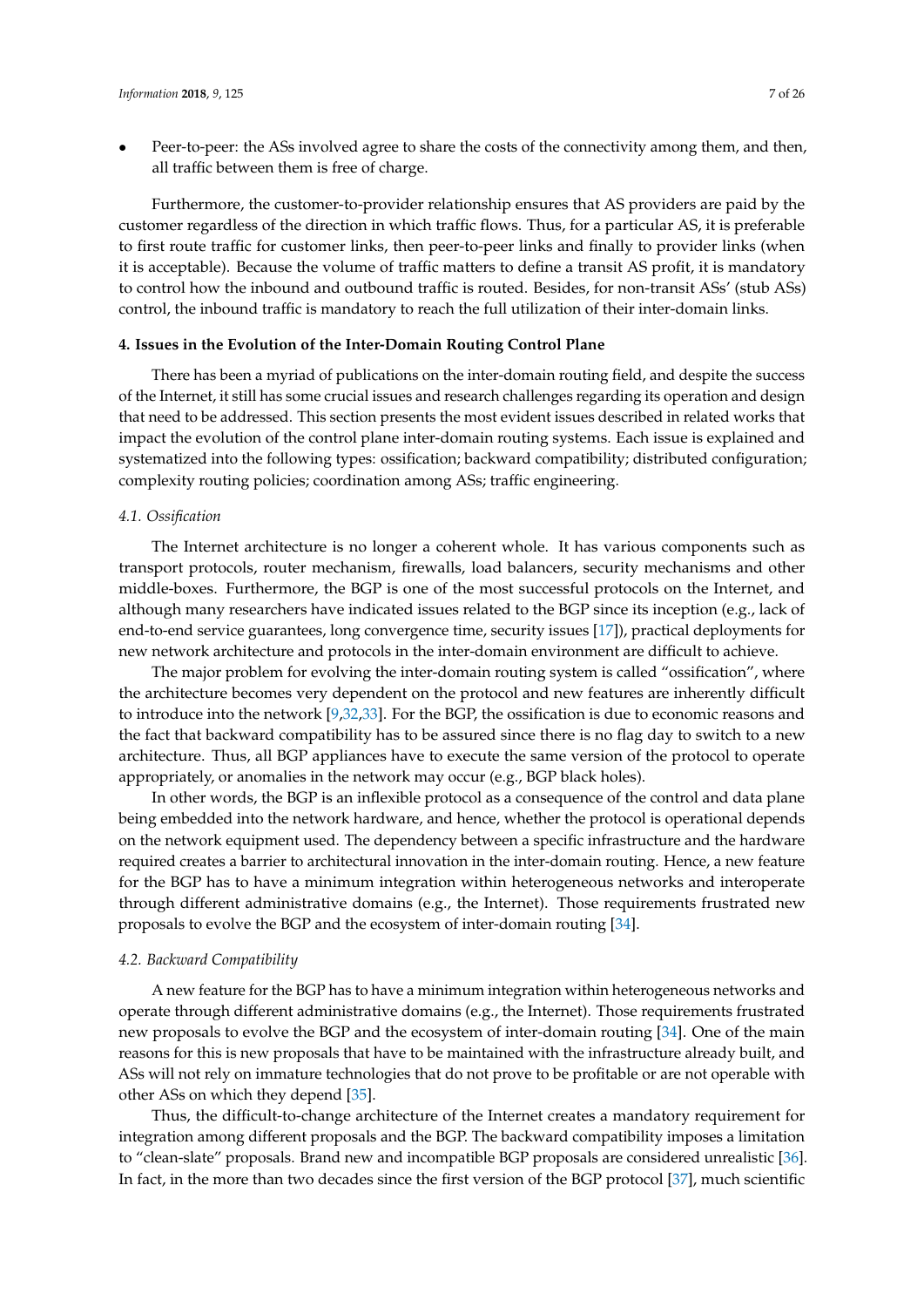• Peer-to-peer: the ASs involved agree to share the costs of the connectivity among them, and then, all traffic between them is free of charge.

Furthermore, the customer-to-provider relationship ensures that AS providers are paid by the customer regardless of the direction in which traffic flows. Thus, for a particular AS, it is preferable to first route traffic for customer links, then peer-to-peer links and finally to provider links (when it is acceptable). Because the volume of traffic matters to define a transit AS profit, it is mandatory to control how the inbound and outbound traffic is routed. Besides, for non-transit ASs' (stub ASs) control, the inbound traffic is mandatory to reach the full utilization of their inter-domain links.

### <span id="page-6-0"></span>**4. Issues in the Evolution of the Inter-Domain Routing Control Plane**

There has been a myriad of publications on the inter-domain routing field, and despite the success of the Internet, it still has some crucial issues and research challenges regarding its operation and design that need to be addressed. This section presents the most evident issues described in related works that impact the evolution of the control plane inter-domain routing systems. Each issue is explained and systematized into the following types: ossification; backward compatibility; distributed configuration; complexity routing policies; coordination among ASs; traffic engineering.

#### <span id="page-6-1"></span>*4.1. Ossification*

The Internet architecture is no longer a coherent whole. It has various components such as transport protocols, router mechanism, firewalls, load balancers, security mechanisms and other middle-boxes. Furthermore, the BGP is one of the most successful protocols on the Internet, and although many researchers have indicated issues related to the BGP since its inception (e.g., lack of end-to-end service guarantees, long convergence time, security issues [\[17\]](#page-21-14)), practical deployments for new network architecture and protocols in the inter-domain environment are difficult to achieve.

The major problem for evolving the inter-domain routing system is called "ossification", where the architecture becomes very dependent on the protocol and new features are inherently difficult to introduce into the network [\[9](#page-21-6)[,32,](#page-22-6)[33\]](#page-22-7). For the BGP, the ossification is due to economic reasons and the fact that backward compatibility has to be assured since there is no flag day to switch to a new architecture. Thus, all BGP appliances have to execute the same version of the protocol to operate appropriately, or anomalies in the network may occur (e.g., BGP black holes).

In other words, the BGP is an inflexible protocol as a consequence of the control and data plane being embedded into the network hardware, and hence, whether the protocol is operational depends on the network equipment used. The dependency between a specific infrastructure and the hardware required creates a barrier to architectural innovation in the inter-domain routing. Hence, a new feature for the BGP has to have a minimum integration within heterogeneous networks and interoperate through different administrative domains (e.g., the Internet). Those requirements frustrated new proposals to evolve the BGP and the ecosystem of inter-domain routing [\[34\]](#page-22-8).

#### *4.2. Backward Compatibility*

A new feature for the BGP has to have a minimum integration within heterogeneous networks and operate through different administrative domains (e.g., the Internet). Those requirements frustrated new proposals to evolve the BGP and the ecosystem of inter-domain routing [\[34\]](#page-22-8). One of the main reasons for this is new proposals that have to be maintained with the infrastructure already built, and ASs will not rely on immature technologies that do not prove to be profitable or are not operable with other ASs on which they depend [\[35\]](#page-22-9).

Thus, the difficult-to-change architecture of the Internet creates a mandatory requirement for integration among different proposals and the BGP. The backward compatibility imposes a limitation to "clean-slate" proposals. Brand new and incompatible BGP proposals are considered unrealistic [\[36\]](#page-22-10). In fact, in the more than two decades since the first version of the BGP protocol [\[37\]](#page-22-11), much scientific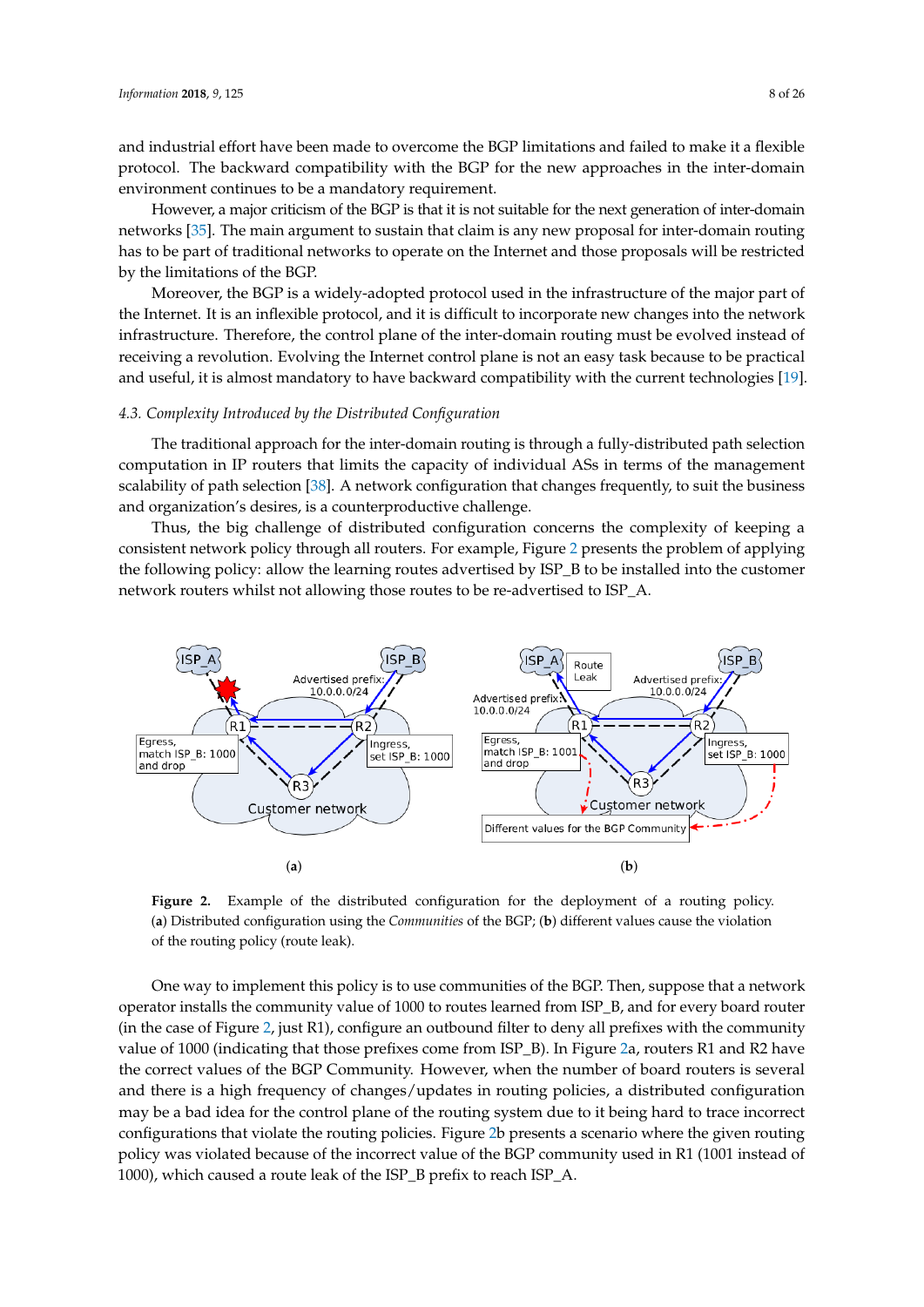and industrial effort have been made to overcome the BGP limitations and failed to make it a flexible protocol. The backward compatibility with the BGP for the new approaches in the inter-domain environment continues to be a mandatory requirement.

However, a major criticism of the BGP is that it is not suitable for the next generation of inter-domain networks [\[35\]](#page-22-9). The main argument to sustain that claim is any new proposal for inter-domain routing has to be part of traditional networks to operate on the Internet and those proposals will be restricted by the limitations of the BGP.

Moreover, the BGP is a widely-adopted protocol used in the infrastructure of the major part of the Internet. It is an inflexible protocol, and it is difficult to incorporate new changes into the network infrastructure. Therefore, the control plane of the inter-domain routing must be evolved instead of receiving a revolution. Evolving the Internet control plane is not an easy task because to be practical and useful, it is almost mandatory to have backward compatibility with the current technologies [\[19\]](#page-21-16).

#### *4.3. Complexity Introduced by the Distributed Configuration*

The traditional approach for the inter-domain routing is through a fully-distributed path selection computation in IP routers that limits the capacity of individual ASs in terms of the management scalability of path selection [\[38\]](#page-22-12). A network configuration that changes frequently, to suit the business and organization's desires, is a counterproductive challenge.

Thus, the big challenge of distributed configuration concerns the complexity of keeping a consistent network policy through all routers. For example, Figure [2](#page-7-0) presents the problem of applying the following policy: allow the learning routes advertised by ISP\_B to be installed into the customer network routers whilst not allowing those routes to be re-advertised to ISP\_A.

<span id="page-7-0"></span>

**Figure 2.** Example of the distributed configuration for the deployment of a routing policy. (**a**) Distributed configuration using the *Communities* of the BGP; (**b**) different values cause the violation of the routing policy (route leak).

One way to implement this policy is to use communities of the BGP. Then, suppose that a network operator installs the community value of 1000 to routes learned from ISP\_B, and for every board router (in the case of Figure [2,](#page-7-0) just R1), configure an outbound filter to deny all prefixes with the community value of 1000 (indicating that those prefixes come from ISP\_B). In Figure [2a](#page-7-0), routers R1 and R2 have the correct values of the BGP Community. However, when the number of board routers is several and there is a high frequency of changes/updates in routing policies, a distributed configuration may be a bad idea for the control plane of the routing system due to it being hard to trace incorrect configurations that violate the routing policies. Figure [2b](#page-7-0) presents a scenario where the given routing policy was violated because of the incorrect value of the BGP community used in R1 (1001 instead of 1000), which caused a route leak of the ISP\_B prefix to reach ISP\_A.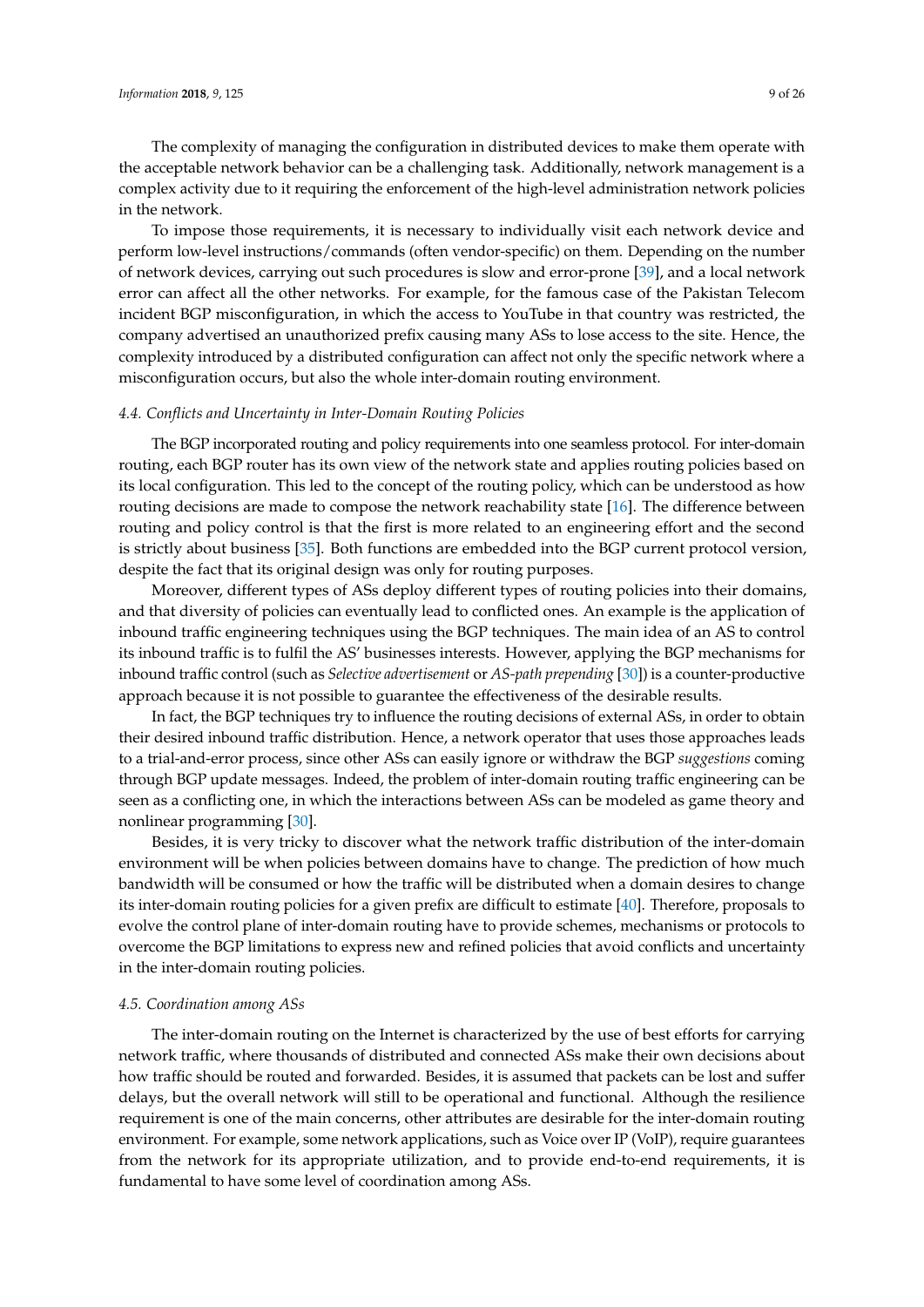The complexity of managing the configuration in distributed devices to make them operate with the acceptable network behavior can be a challenging task. Additionally, network management is a complex activity due to it requiring the enforcement of the high-level administration network policies in the network.

To impose those requirements, it is necessary to individually visit each network device and perform low-level instructions/commands (often vendor-specific) on them. Depending on the number of network devices, carrying out such procedures is slow and error-prone [\[39\]](#page-22-13), and a local network error can affect all the other networks. For example, for the famous case of the Pakistan Telecom incident BGP misconfiguration, in which the access to YouTube in that country was restricted, the company advertised an unauthorized prefix causing many ASs to lose access to the site. Hence, the complexity introduced by a distributed configuration can affect not only the specific network where a misconfiguration occurs, but also the whole inter-domain routing environment.

#### *4.4. Conflicts and Uncertainty in Inter-Domain Routing Policies*

The BGP incorporated routing and policy requirements into one seamless protocol. For inter-domain routing, each BGP router has its own view of the network state and applies routing policies based on its local configuration. This led to the concept of the routing policy, which can be understood as how routing decisions are made to compose the network reachability state [\[16\]](#page-21-13). The difference between routing and policy control is that the first is more related to an engineering effort and the second is strictly about business [\[35\]](#page-22-9). Both functions are embedded into the BGP current protocol version, despite the fact that its original design was only for routing purposes.

Moreover, different types of ASs deploy different types of routing policies into their domains, and that diversity of policies can eventually lead to conflicted ones. An example is the application of inbound traffic engineering techniques using the BGP techniques. The main idea of an AS to control its inbound traffic is to fulfil the AS' businesses interests. However, applying the BGP mechanisms for inbound traffic control (such as *Selective advertisement* or *AS-path prepending* [\[30\]](#page-22-4)) is a counter-productive approach because it is not possible to guarantee the effectiveness of the desirable results.

In fact, the BGP techniques try to influence the routing decisions of external ASs, in order to obtain their desired inbound traffic distribution. Hence, a network operator that uses those approaches leads to a trial-and-error process, since other ASs can easily ignore or withdraw the BGP *suggestions* coming through BGP update messages. Indeed, the problem of inter-domain routing traffic engineering can be seen as a conflicting one, in which the interactions between ASs can be modeled as game theory and nonlinear programming [\[30\]](#page-22-4).

Besides, it is very tricky to discover what the network traffic distribution of the inter-domain environment will be when policies between domains have to change. The prediction of how much bandwidth will be consumed or how the traffic will be distributed when a domain desires to change its inter-domain routing policies for a given prefix are difficult to estimate [\[40\]](#page-22-14). Therefore, proposals to evolve the control plane of inter-domain routing have to provide schemes, mechanisms or protocols to overcome the BGP limitations to express new and refined policies that avoid conflicts and uncertainty in the inter-domain routing policies.

#### *4.5. Coordination among ASs*

The inter-domain routing on the Internet is characterized by the use of best efforts for carrying network traffic, where thousands of distributed and connected ASs make their own decisions about how traffic should be routed and forwarded. Besides, it is assumed that packets can be lost and suffer delays, but the overall network will still to be operational and functional. Although the resilience requirement is one of the main concerns, other attributes are desirable for the inter-domain routing environment. For example, some network applications, such as Voice over IP (VoIP), require guarantees from the network for its appropriate utilization, and to provide end-to-end requirements, it is fundamental to have some level of coordination among ASs.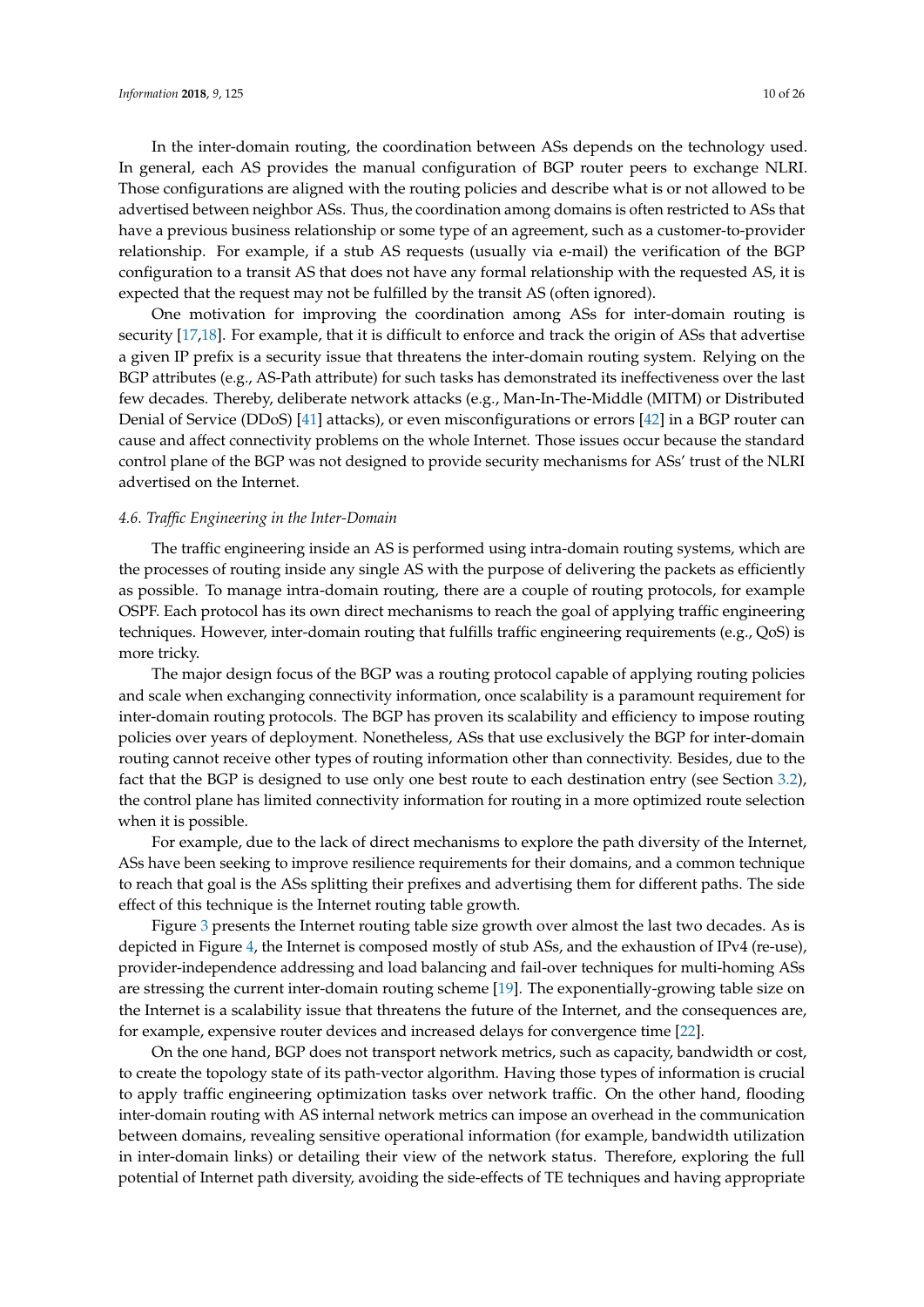In the inter-domain routing, the coordination between ASs depends on the technology used. In general, each AS provides the manual configuration of BGP router peers to exchange NLRI. Those configurations are aligned with the routing policies and describe what is or not allowed to be advertised between neighbor ASs. Thus, the coordination among domains is often restricted to ASs that have a previous business relationship or some type of an agreement, such as a customer-to-provider relationship. For example, if a stub AS requests (usually via e-mail) the verification of the BGP configuration to a transit AS that does not have any formal relationship with the requested AS, it is expected that the request may not be fulfilled by the transit AS (often ignored).

One motivation for improving the coordination among ASs for inter-domain routing is security [\[17](#page-21-14)[,18\]](#page-21-15). For example, that it is difficult to enforce and track the origin of ASs that advertise a given IP prefix is a security issue that threatens the inter-domain routing system. Relying on the BGP attributes (e.g., AS-Path attribute) for such tasks has demonstrated its ineffectiveness over the last few decades. Thereby, deliberate network attacks (e.g., Man-In-The-Middle (MITM) or Distributed Denial of Service (DDoS) [\[41\]](#page-22-15) attacks), or even misconfigurations or errors [\[42\]](#page-22-16) in a BGP router can cause and affect connectivity problems on the whole Internet. Those issues occur because the standard control plane of the BGP was not designed to provide security mechanisms for ASs' trust of the NLRI advertised on the Internet.

## *4.6. Traffic Engineering in the Inter-Domain*

The traffic engineering inside an AS is performed using intra-domain routing systems, which are the processes of routing inside any single AS with the purpose of delivering the packets as efficiently as possible. To manage intra-domain routing, there are a couple of routing protocols, for example OSPF. Each protocol has its own direct mechanisms to reach the goal of applying traffic engineering techniques. However, inter-domain routing that fulfills traffic engineering requirements (e.g., QoS) is more tricky.

The major design focus of the BGP was a routing protocol capable of applying routing policies and scale when exchanging connectivity information, once scalability is a paramount requirement for inter-domain routing protocols. The BGP has proven its scalability and efficiency to impose routing policies over years of deployment. Nonetheless, ASs that use exclusively the BGP for inter-domain routing cannot receive other types of routing information other than connectivity. Besides, due to the fact that the BGP is designed to use only one best route to each destination entry (see Section [3.2\)](#page-3-1), the control plane has limited connectivity information for routing in a more optimized route selection when it is possible.

For example, due to the lack of direct mechanisms to explore the path diversity of the Internet, ASs have been seeking to improve resilience requirements for their domains, and a common technique to reach that goal is the ASs splitting their prefixes and advertising them for different paths. The side effect of this technique is the Internet routing table growth.

Figure [3](#page-10-1) presents the Internet routing table size growth over almost the last two decades. As is depicted in Figure [4,](#page-10-2) the Internet is composed mostly of stub ASs, and the exhaustion of IPv4 (re-use), provider-independence addressing and load balancing and fail-over techniques for multi-homing ASs are stressing the current inter-domain routing scheme [\[19\]](#page-21-16). The exponentially-growing table size on the Internet is a scalability issue that threatens the future of the Internet, and the consequences are, for example, expensive router devices and increased delays for convergence time [\[22\]](#page-21-19).

On the one hand, BGP does not transport network metrics, such as capacity, bandwidth or cost, to create the topology state of its path-vector algorithm. Having those types of information is crucial to apply traffic engineering optimization tasks over network traffic. On the other hand, flooding inter-domain routing with AS internal network metrics can impose an overhead in the communication between domains, revealing sensitive operational information (for example, bandwidth utilization in inter-domain links) or detailing their view of the network status. Therefore, exploring the full potential of Internet path diversity, avoiding the side-effects of TE techniques and having appropriate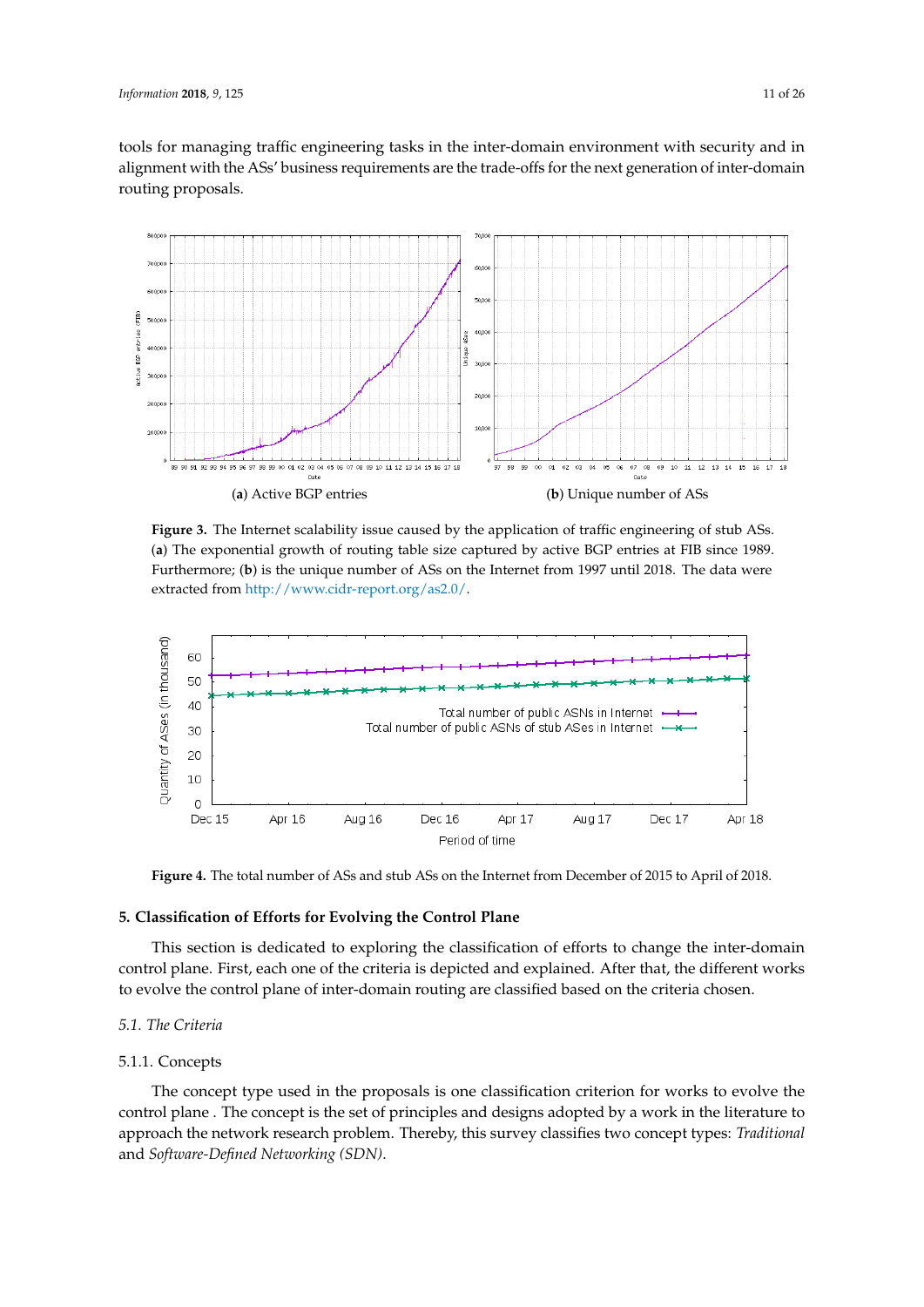tools for managing traffic engineering tasks in the inter-domain environment with security and in alignment with the ASs' business requirements are the trade-offs for the next generation of inter-domain routing proposals.

<span id="page-10-1"></span>

**Figure 3.** The Internet scalability issue caused by the application of traffic engineering of stub ASs. (**a**) The exponential growth of routing table size captured by active BGP entries at FIB since 1989. Furthermore; (**b**) is the unique number of ASs on the Internet from 1997 until 2018. The data were extracted from [http://www.cidr-report.org/as2.0/.](http://www.cidr-report.org/as2.0/)

<span id="page-10-2"></span>

**Figure 4.** The total number of ASs and stub ASs on the Internet from December of 2015 to April of 2018.

## <span id="page-10-0"></span>**5. Classification of Efforts for Evolving the Control Plane**

This section is dedicated to exploring the classification of efforts to change the inter-domain control plane. First, each one of the criteria is depicted and explained. After that, the different works to evolve the control plane of inter-domain routing are classified based on the criteria chosen.

## <span id="page-10-3"></span>*5.1. The Criteria*

#### 5.1.1. Concepts

The concept type used in the proposals is one classification criterion for works to evolve the control plane . The concept is the set of principles and designs adopted by a work in the literature to approach the network research problem. Thereby, this survey classifies two concept types: *Traditional* and *Software-Defined Networking (SDN)*.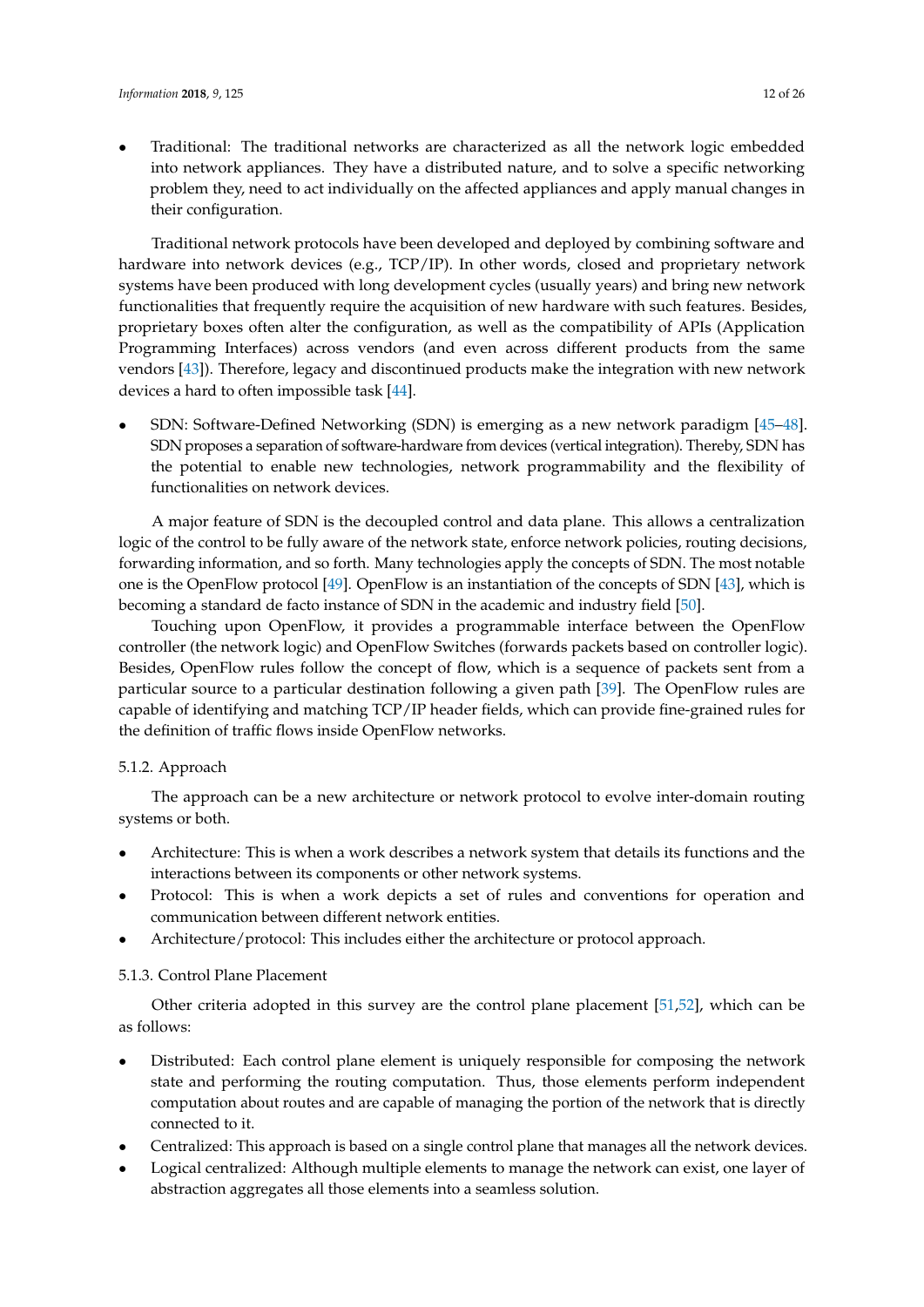• Traditional: The traditional networks are characterized as all the network logic embedded into network appliances. They have a distributed nature, and to solve a specific networking problem they, need to act individually on the affected appliances and apply manual changes in their configuration.

Traditional network protocols have been developed and deployed by combining software and hardware into network devices (e.g., TCP/IP). In other words, closed and proprietary network systems have been produced with long development cycles (usually years) and bring new network functionalities that frequently require the acquisition of new hardware with such features. Besides, proprietary boxes often alter the configuration, as well as the compatibility of APIs (Application Programming Interfaces) across vendors (and even across different products from the same vendors [\[43\]](#page-22-17)). Therefore, legacy and discontinued products make the integration with new network devices a hard to often impossible task [\[44\]](#page-22-18).

• SDN: Software-Defined Networking (SDN) is emerging as a new network paradigm [\[45–](#page-22-19)[48\]](#page-23-0). SDN proposes a separation of software-hardware from devices (vertical integration). Thereby, SDN has the potential to enable new technologies, network programmability and the flexibility of functionalities on network devices.

A major feature of SDN is the decoupled control and data plane. This allows a centralization logic of the control to be fully aware of the network state, enforce network policies, routing decisions, forwarding information, and so forth. Many technologies apply the concepts of SDN. The most notable one is the OpenFlow protocol [\[49\]](#page-23-1). OpenFlow is an instantiation of the concepts of SDN [\[43\]](#page-22-17), which is becoming a standard de facto instance of SDN in the academic and industry field [\[50\]](#page-23-2).

Touching upon OpenFlow, it provides a programmable interface between the OpenFlow controller (the network logic) and OpenFlow Switches (forwards packets based on controller logic). Besides, OpenFlow rules follow the concept of flow, which is a sequence of packets sent from a particular source to a particular destination following a given path [\[39\]](#page-22-13). The OpenFlow rules are capable of identifying and matching TCP/IP header fields, which can provide fine-grained rules for the definition of traffic flows inside OpenFlow networks.

# 5.1.2. Approach

The approach can be a new architecture or network protocol to evolve inter-domain routing systems or both.

- Architecture: This is when a work describes a network system that details its functions and the interactions between its components or other network systems.
- Protocol: This is when a work depicts a set of rules and conventions for operation and communication between different network entities.
- Architecture/protocol: This includes either the architecture or protocol approach.

# 5.1.3. Control Plane Placement

Other criteria adopted in this survey are the control plane placement [\[51](#page-23-3)[,52\]](#page-23-4), which can be as follows:

- Distributed: Each control plane element is uniquely responsible for composing the network state and performing the routing computation. Thus, those elements perform independent computation about routes and are capable of managing the portion of the network that is directly connected to it.
- Centralized: This approach is based on a single control plane that manages all the network devices.
- Logical centralized: Although multiple elements to manage the network can exist, one layer of abstraction aggregates all those elements into a seamless solution.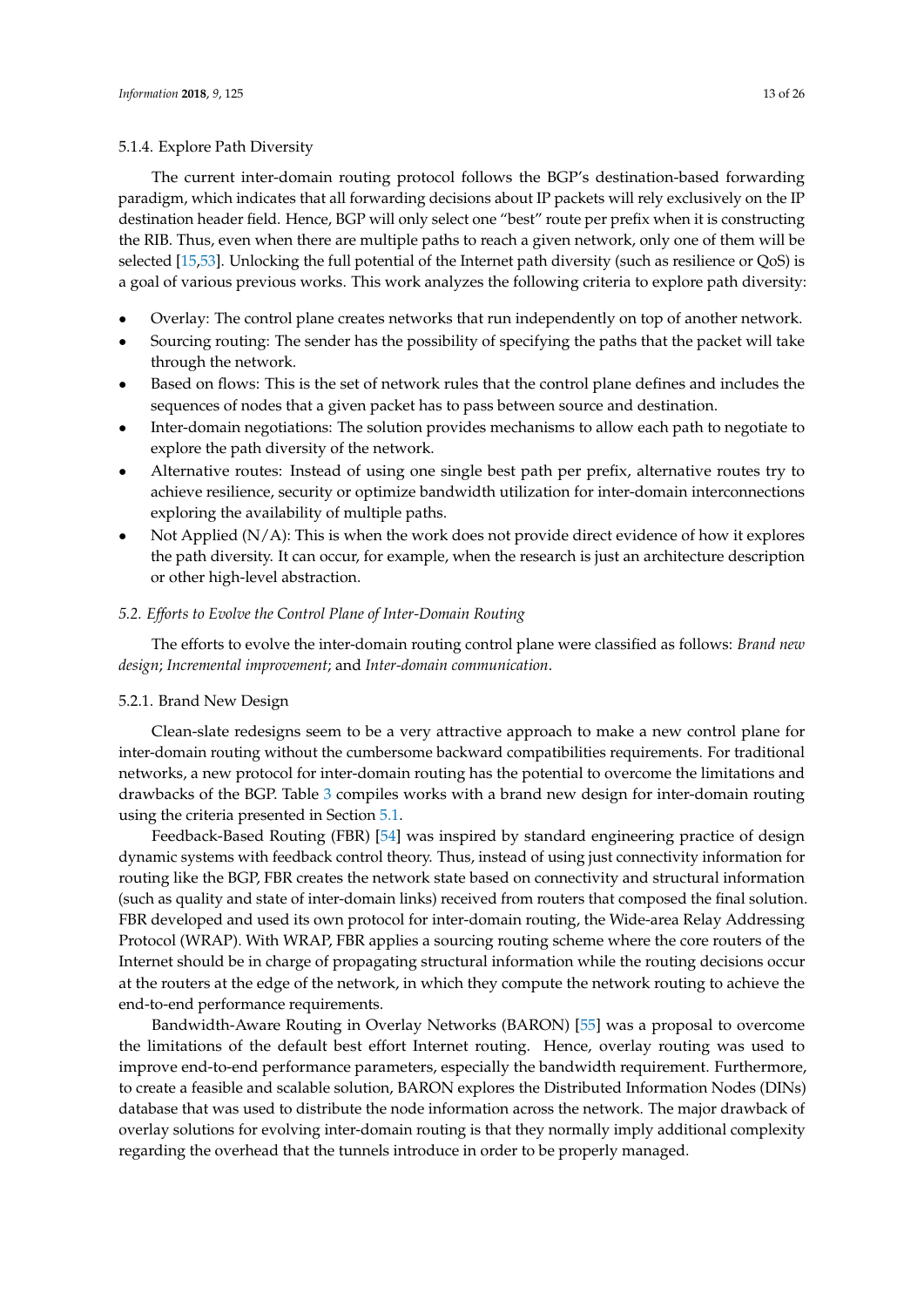## 5.1.4. Explore Path Diversity

The current inter-domain routing protocol follows the BGP's destination-based forwarding paradigm, which indicates that all forwarding decisions about IP packets will rely exclusively on the IP destination header field. Hence, BGP will only select one "best" route per prefix when it is constructing the RIB. Thus, even when there are multiple paths to reach a given network, only one of them will be selected [\[15,](#page-21-12)[53\]](#page-23-5). Unlocking the full potential of the Internet path diversity (such as resilience or QoS) is a goal of various previous works. This work analyzes the following criteria to explore path diversity:

- Overlay: The control plane creates networks that run independently on top of another network.
- Sourcing routing: The sender has the possibility of specifying the paths that the packet will take through the network.
- Based on flows: This is the set of network rules that the control plane defines and includes the sequences of nodes that a given packet has to pass between source and destination.
- Inter-domain negotiations: The solution provides mechanisms to allow each path to negotiate to explore the path diversity of the network.
- Alternative routes: Instead of using one single best path per prefix, alternative routes try to achieve resilience, security or optimize bandwidth utilization for inter-domain interconnections exploring the availability of multiple paths.
- Not Applied  $(N/A)$ : This is when the work does not provide direct evidence of how it explores the path diversity. It can occur, for example, when the research is just an architecture description or other high-level abstraction.

## *5.2. Efforts to Evolve the Control Plane of Inter-Domain Routing*

The efforts to evolve the inter-domain routing control plane were classified as follows: *Brand new design*; *Incremental improvement*; and *Inter-domain communication*.

## 5.2.1. Brand New Design

Clean-slate redesigns seem to be a very attractive approach to make a new control plane for inter-domain routing without the cumbersome backward compatibilities requirements. For traditional networks, a new protocol for inter-domain routing has the potential to overcome the limitations and drawbacks of the BGP. Table [3](#page-13-0) compiles works with a brand new design for inter-domain routing using the criteria presented in Section [5.1.](#page-10-3)

Feedback-Based Routing (FBR) [\[54\]](#page-23-6) was inspired by standard engineering practice of design dynamic systems with feedback control theory. Thus, instead of using just connectivity information for routing like the BGP, FBR creates the network state based on connectivity and structural information (such as quality and state of inter-domain links) received from routers that composed the final solution. FBR developed and used its own protocol for inter-domain routing, the Wide-area Relay Addressing Protocol (WRAP). With WRAP, FBR applies a sourcing routing scheme where the core routers of the Internet should be in charge of propagating structural information while the routing decisions occur at the routers at the edge of the network, in which they compute the network routing to achieve the end-to-end performance requirements.

Bandwidth-Aware Routing in Overlay Networks (BARON) [\[55\]](#page-23-7) was a proposal to overcome the limitations of the default best effort Internet routing. Hence, overlay routing was used to improve end-to-end performance parameters, especially the bandwidth requirement. Furthermore, to create a feasible and scalable solution, BARON explores the Distributed Information Nodes (DINs) database that was used to distribute the node information across the network. The major drawback of overlay solutions for evolving inter-domain routing is that they normally imply additional complexity regarding the overhead that the tunnels introduce in order to be properly managed.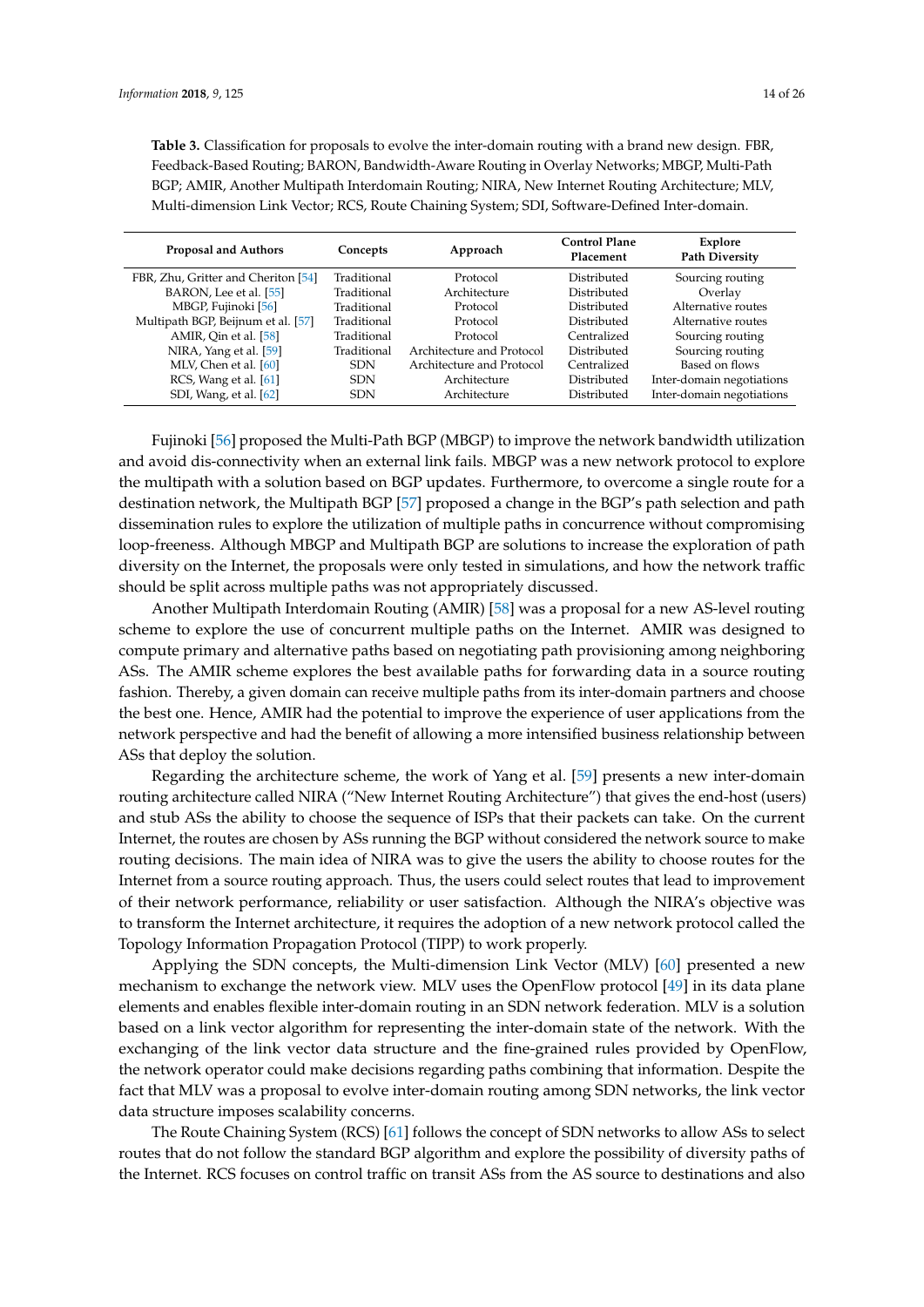<span id="page-13-0"></span>**Table 3.** Classification for proposals to evolve the inter-domain routing with a brand new design. FBR, Feedback-Based Routing; BARON, Bandwidth-Aware Routing in Overlay Networks; MBGP, Multi-Path BGP; AMIR, Another Multipath Interdomain Routing; NIRA, New Internet Routing Architecture; MLV, Multi-dimension Link Vector; RCS, Route Chaining System; SDI, Software-Defined Inter-domain.

| <b>Proposal and Authors</b>         | Concepts    | Approach                  | <b>Control Plane</b><br>Placement | Explore<br><b>Path Diversity</b> |
|-------------------------------------|-------------|---------------------------|-----------------------------------|----------------------------------|
| FBR, Zhu, Gritter and Cheriton [54] | Traditional | Protocol                  | Distributed                       | Sourcing routing                 |
| BARON, Lee et al. [55]              | Traditional | Architecture              | Distributed                       | Overlay                          |
| MBGP, Fujinoki [56]                 | Traditional | Protocol                  | Distributed                       | Alternative routes               |
| Multipath BGP, Beijnum et al. [57]  | Traditional | Protocol                  | Distributed                       | Alternative routes               |
| AMIR, Qin et al. [58]               | Traditional | Protocol                  | Centralized                       | Sourcing routing                 |
| NIRA, Yang et al. [59]              | Traditional | Architecture and Protocol | Distributed                       | Sourcing routing                 |
| MLV, Chen et al. [60]               | <b>SDN</b>  | Architecture and Protocol | Centralized                       | Based on flows                   |
| RCS, Wang et al. [61]               | <b>SDN</b>  | Architecture              | Distributed                       | Inter-domain negotiations        |
| SDI, Wang, et al. [62]              | <b>SDN</b>  | Architecture              | Distributed                       | Inter-domain negotiations        |

Fujinoki [\[56\]](#page-23-8) proposed the Multi-Path BGP (MBGP) to improve the network bandwidth utilization and avoid dis-connectivity when an external link fails. MBGP was a new network protocol to explore the multipath with a solution based on BGP updates. Furthermore, to overcome a single route for a destination network, the Multipath BGP [\[57\]](#page-23-9) proposed a change in the BGP's path selection and path dissemination rules to explore the utilization of multiple paths in concurrence without compromising loop-freeness. Although MBGP and Multipath BGP are solutions to increase the exploration of path diversity on the Internet, the proposals were only tested in simulations, and how the network traffic should be split across multiple paths was not appropriately discussed.

Another Multipath Interdomain Routing (AMIR) [\[58\]](#page-23-10) was a proposal for a new AS-level routing scheme to explore the use of concurrent multiple paths on the Internet. AMIR was designed to compute primary and alternative paths based on negotiating path provisioning among neighboring ASs. The AMIR scheme explores the best available paths for forwarding data in a source routing fashion. Thereby, a given domain can receive multiple paths from its inter-domain partners and choose the best one. Hence, AMIR had the potential to improve the experience of user applications from the network perspective and had the benefit of allowing a more intensified business relationship between ASs that deploy the solution.

Regarding the architecture scheme, the work of Yang et al. [\[59\]](#page-23-11) presents a new inter-domain routing architecture called NIRA ("New Internet Routing Architecture") that gives the end-host (users) and stub ASs the ability to choose the sequence of ISPs that their packets can take. On the current Internet, the routes are chosen by ASs running the BGP without considered the network source to make routing decisions. The main idea of NIRA was to give the users the ability to choose routes for the Internet from a source routing approach. Thus, the users could select routes that lead to improvement of their network performance, reliability or user satisfaction. Although the NIRA's objective was to transform the Internet architecture, it requires the adoption of a new network protocol called the Topology Information Propagation Protocol (TIPP) to work properly.

Applying the SDN concepts, the Multi-dimension Link Vector (MLV) [\[60\]](#page-23-12) presented a new mechanism to exchange the network view. MLV uses the OpenFlow protocol [\[49\]](#page-23-1) in its data plane elements and enables flexible inter-domain routing in an SDN network federation. MLV is a solution based on a link vector algorithm for representing the inter-domain state of the network. With the exchanging of the link vector data structure and the fine-grained rules provided by OpenFlow, the network operator could make decisions regarding paths combining that information. Despite the fact that MLV was a proposal to evolve inter-domain routing among SDN networks, the link vector data structure imposes scalability concerns.

The Route Chaining System (RCS) [\[61\]](#page-23-13) follows the concept of SDN networks to allow ASs to select routes that do not follow the standard BGP algorithm and explore the possibility of diversity paths of the Internet. RCS focuses on control traffic on transit ASs from the AS source to destinations and also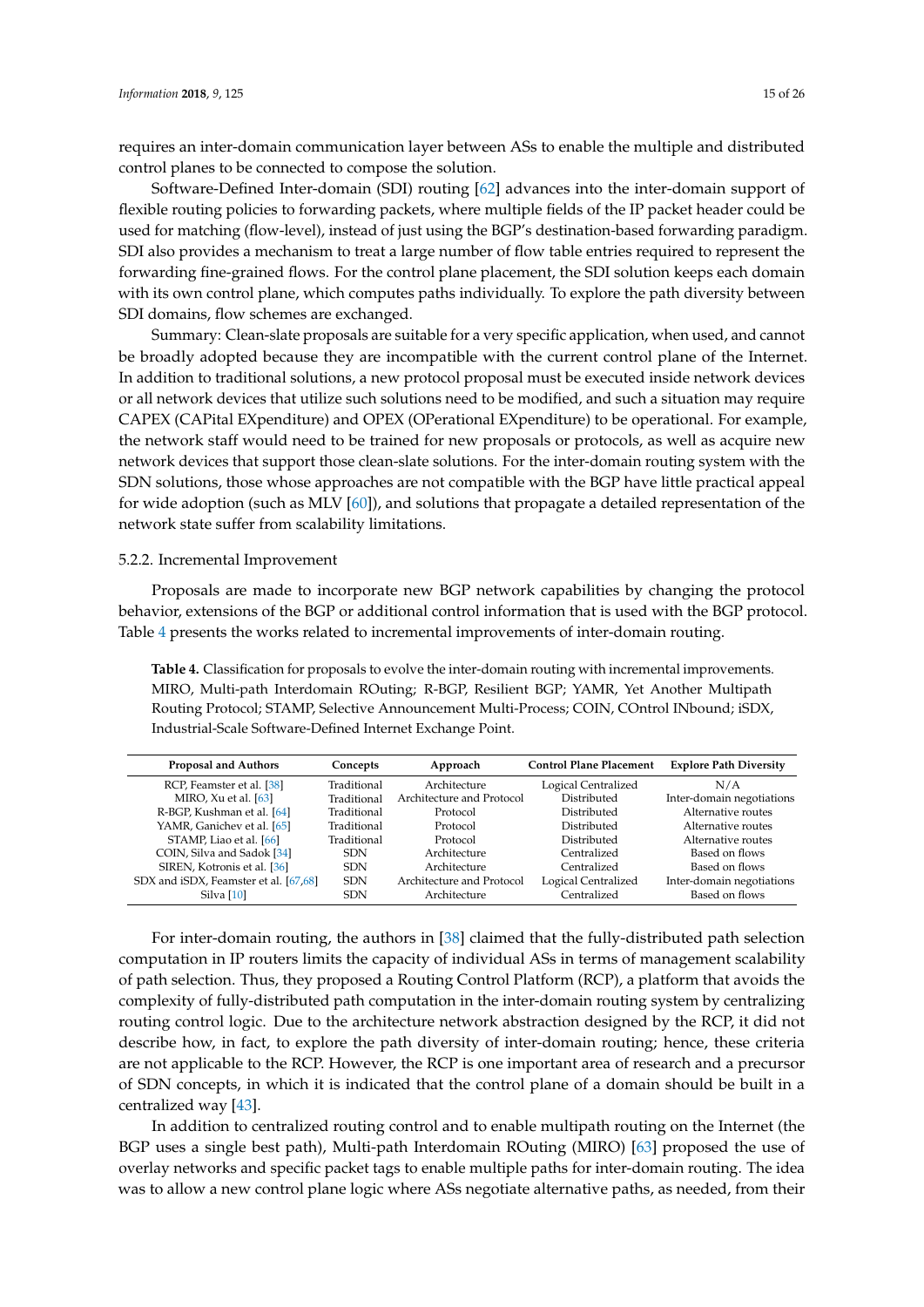requires an inter-domain communication layer between ASs to enable the multiple and distributed control planes to be connected to compose the solution.

Software-Defined Inter-domain (SDI) routing [\[62\]](#page-23-14) advances into the inter-domain support of flexible routing policies to forwarding packets, where multiple fields of the IP packet header could be used for matching (flow-level), instead of just using the BGP's destination-based forwarding paradigm. SDI also provides a mechanism to treat a large number of flow table entries required to represent the forwarding fine-grained flows. For the control plane placement, the SDI solution keeps each domain with its own control plane, which computes paths individually. To explore the path diversity between SDI domains, flow schemes are exchanged.

Summary: Clean-slate proposals are suitable for a very specific application, when used, and cannot be broadly adopted because they are incompatible with the current control plane of the Internet. In addition to traditional solutions, a new protocol proposal must be executed inside network devices or all network devices that utilize such solutions need to be modified, and such a situation may require CAPEX (CAPital EXpenditure) and OPEX (OPerational EXpenditure) to be operational. For example, the network staff would need to be trained for new proposals or protocols, as well as acquire new network devices that support those clean-slate solutions. For the inter-domain routing system with the SDN solutions, those whose approaches are not compatible with the BGP have little practical appeal for wide adoption (such as MLV [\[60\]](#page-23-12)), and solutions that propagate a detailed representation of the network state suffer from scalability limitations.

#### 5.2.2. Incremental Improvement

Proposals are made to incorporate new BGP network capabilities by changing the protocol behavior, extensions of the BGP or additional control information that is used with the BGP protocol. Table [4](#page-14-0) presents the works related to incremental improvements of inter-domain routing.

<span id="page-14-0"></span>**Table 4.** Classification for proposals to evolve the inter-domain routing with incremental improvements. MIRO, Multi-path Interdomain ROuting; R-BGP, Resilient BGP; YAMR, Yet Another Multipath Routing Protocol; STAMP, Selective Announcement Multi-Process; COIN, COntrol INbound; iSDX, Industrial-Scale Software-Defined Internet Exchange Point.

| <b>Proposal and Authors</b>           | Concepts    | Approach                  | <b>Control Plane Placement</b> | <b>Explore Path Diversity</b> |
|---------------------------------------|-------------|---------------------------|--------------------------------|-------------------------------|
| RCP, Feamster et al. [38]             | Traditional | Architecture              | Logical Centralized            | N/A                           |
| MIRO, $Xu$ et al. $[63]$              | Traditional | Architecture and Protocol | Distributed                    | Inter-domain negotiations     |
| R-BGP, Kushman et al. [64]            | Traditional | Protocol                  | Distributed                    | Alternative routes            |
| YAMR, Ganichev et al. [65]            | Traditional | Protocol                  | Distributed                    | Alternative routes            |
| STAMP, Liao et al. [66]               | Traditional | Protocol                  | Distributed                    | Alternative routes            |
| COIN, Silva and Sadok [34]            | <b>SDN</b>  | Architecture              | Centralized                    | Based on flows                |
| SIREN, Kotronis et al. [36]           | <b>SDN</b>  | Architecture              | Centralized                    | Based on flows                |
| SDX and iSDX, Feamster et al. [67,68] | <b>SDN</b>  | Architecture and Protocol | Logical Centralized            | Inter-domain negotiations     |
| Silva $[10]$                          | <b>SDN</b>  | Architecture              | Centralized                    | Based on flows                |

For inter-domain routing, the authors in [\[38\]](#page-22-12) claimed that the fully-distributed path selection computation in IP routers limits the capacity of individual ASs in terms of management scalability of path selection. Thus, they proposed a Routing Control Platform (RCP), a platform that avoids the complexity of fully-distributed path computation in the inter-domain routing system by centralizing routing control logic. Due to the architecture network abstraction designed by the RCP, it did not describe how, in fact, to explore the path diversity of inter-domain routing; hence, these criteria are not applicable to the RCP. However, the RCP is one important area of research and a precursor of SDN concepts, in which it is indicated that the control plane of a domain should be built in a centralized way [\[43\]](#page-22-17).

In addition to centralized routing control and to enable multipath routing on the Internet (the BGP uses a single best path), Multi-path Interdomain ROuting (MIRO) [\[63\]](#page-23-15) proposed the use of overlay networks and specific packet tags to enable multiple paths for inter-domain routing. The idea was to allow a new control plane logic where ASs negotiate alternative paths, as needed, from their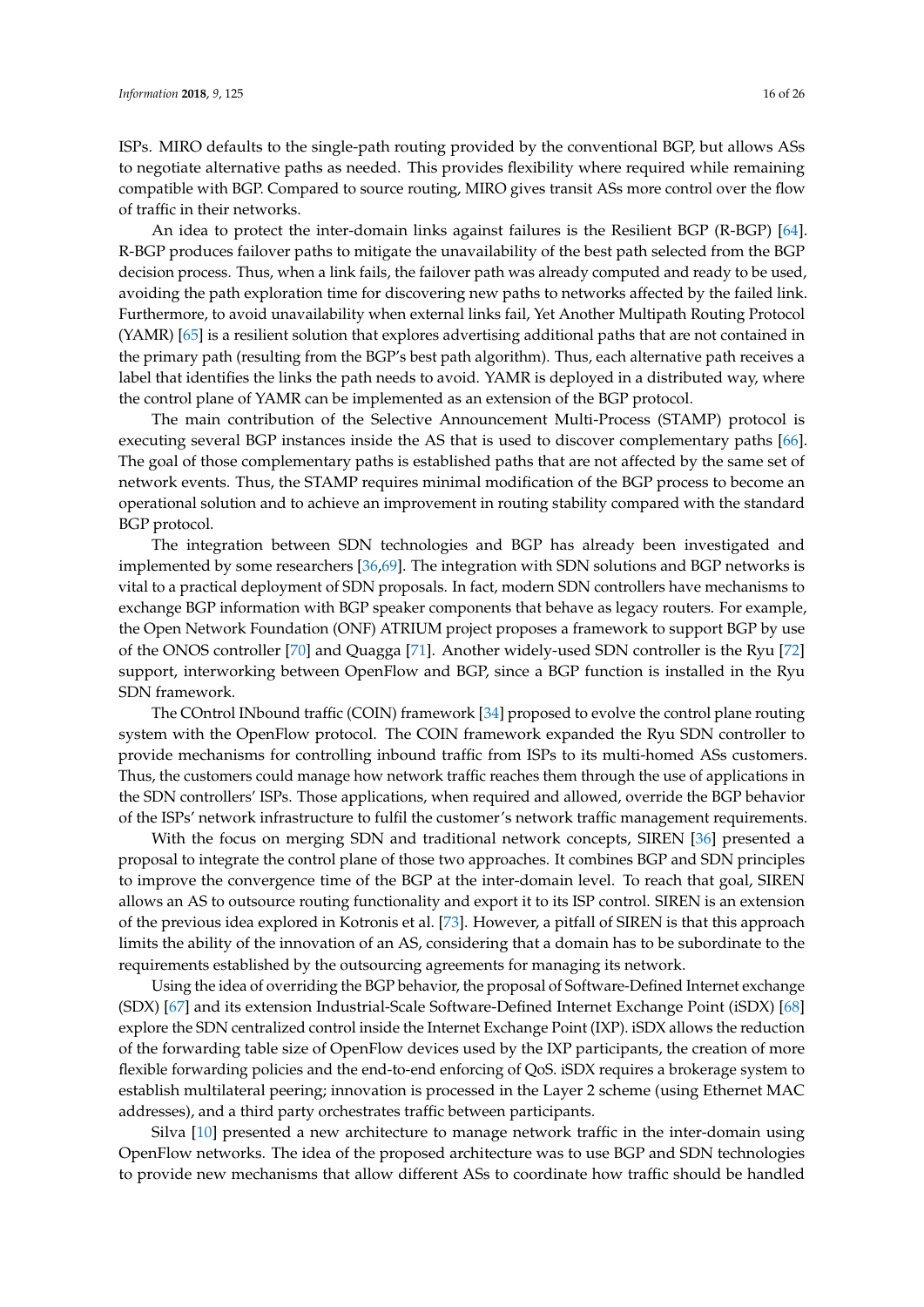ISPs. MIRO defaults to the single-path routing provided by the conventional BGP, but allows ASs to negotiate alternative paths as needed. This provides flexibility where required while remaining compatible with BGP. Compared to source routing, MIRO gives transit ASs more control over the flow of traffic in their networks.

An idea to protect the inter-domain links against failures is the Resilient BGP (R-BGP) [\[64\]](#page-23-16). R-BGP produces failover paths to mitigate the unavailability of the best path selected from the BGP decision process. Thus, when a link fails, the failover path was already computed and ready to be used, avoiding the path exploration time for discovering new paths to networks affected by the failed link. Furthermore, to avoid unavailability when external links fail, Yet Another Multipath Routing Protocol (YAMR) [\[65\]](#page-23-17) is a resilient solution that explores advertising additional paths that are not contained in the primary path (resulting from the BGP's best path algorithm). Thus, each alternative path receives a label that identifies the links the path needs to avoid. YAMR is deployed in a distributed way, where the control plane of YAMR can be implemented as an extension of the BGP protocol.

The main contribution of the Selective Announcement Multi-Process (STAMP) protocol is executing several BGP instances inside the AS that is used to discover complementary paths [\[66\]](#page-23-18). The goal of those complementary paths is established paths that are not affected by the same set of network events. Thus, the STAMP requires minimal modification of the BGP process to become an operational solution and to achieve an improvement in routing stability compared with the standard BGP protocol.

The integration between SDN technologies and BGP has already been investigated and implemented by some researchers [\[36,](#page-22-10)[69\]](#page-24-1). The integration with SDN solutions and BGP networks is vital to a practical deployment of SDN proposals. In fact, modern SDN controllers have mechanisms to exchange BGP information with BGP speaker components that behave as legacy routers. For example, the Open Network Foundation (ONF) ATRIUM project proposes a framework to support BGP by use of the ONOS controller [\[70\]](#page-24-2) and Quagga [\[71\]](#page-24-3). Another widely-used SDN controller is the Ryu [\[72\]](#page-24-4) support, interworking between OpenFlow and BGP, since a BGP function is installed in the Ryu SDN framework.

The COntrol INbound traffic (COIN) framework [\[34\]](#page-22-8) proposed to evolve the control plane routing system with the OpenFlow protocol. The COIN framework expanded the Ryu SDN controller to provide mechanisms for controlling inbound traffic from ISPs to its multi-homed ASs customers. Thus, the customers could manage how network traffic reaches them through the use of applications in the SDN controllers' ISPs. Those applications, when required and allowed, override the BGP behavior of the ISPs' network infrastructure to fulfil the customer's network traffic management requirements.

With the focus on merging SDN and traditional network concepts, SIREN [\[36\]](#page-22-10) presented a proposal to integrate the control plane of those two approaches. It combines BGP and SDN principles to improve the convergence time of the BGP at the inter-domain level. To reach that goal, SIREN allows an AS to outsource routing functionality and export it to its ISP control. SIREN is an extension of the previous idea explored in Kotronis et al. [\[73\]](#page-24-5). However, a pitfall of SIREN is that this approach limits the ability of the innovation of an AS, considering that a domain has to be subordinate to the requirements established by the outsourcing agreements for managing its network.

Using the idea of overriding the BGP behavior, the proposal of Software-Defined Internet exchange (SDX) [\[67\]](#page-23-19) and its extension Industrial-Scale Software-Defined Internet Exchange Point (iSDX) [\[68\]](#page-24-0) explore the SDN centralized control inside the Internet Exchange Point (IXP). iSDX allows the reduction of the forwarding table size of OpenFlow devices used by the IXP participants, the creation of more flexible forwarding policies and the end-to-end enforcing of QoS. iSDX requires a brokerage system to establish multilateral peering; innovation is processed in the Layer 2 scheme (using Ethernet MAC addresses), and a third party orchestrates traffic between participants.

Silva [\[10\]](#page-21-7) presented a new architecture to manage network traffic in the inter-domain using OpenFlow networks. The idea of the proposed architecture was to use BGP and SDN technologies to provide new mechanisms that allow different ASs to coordinate how traffic should be handled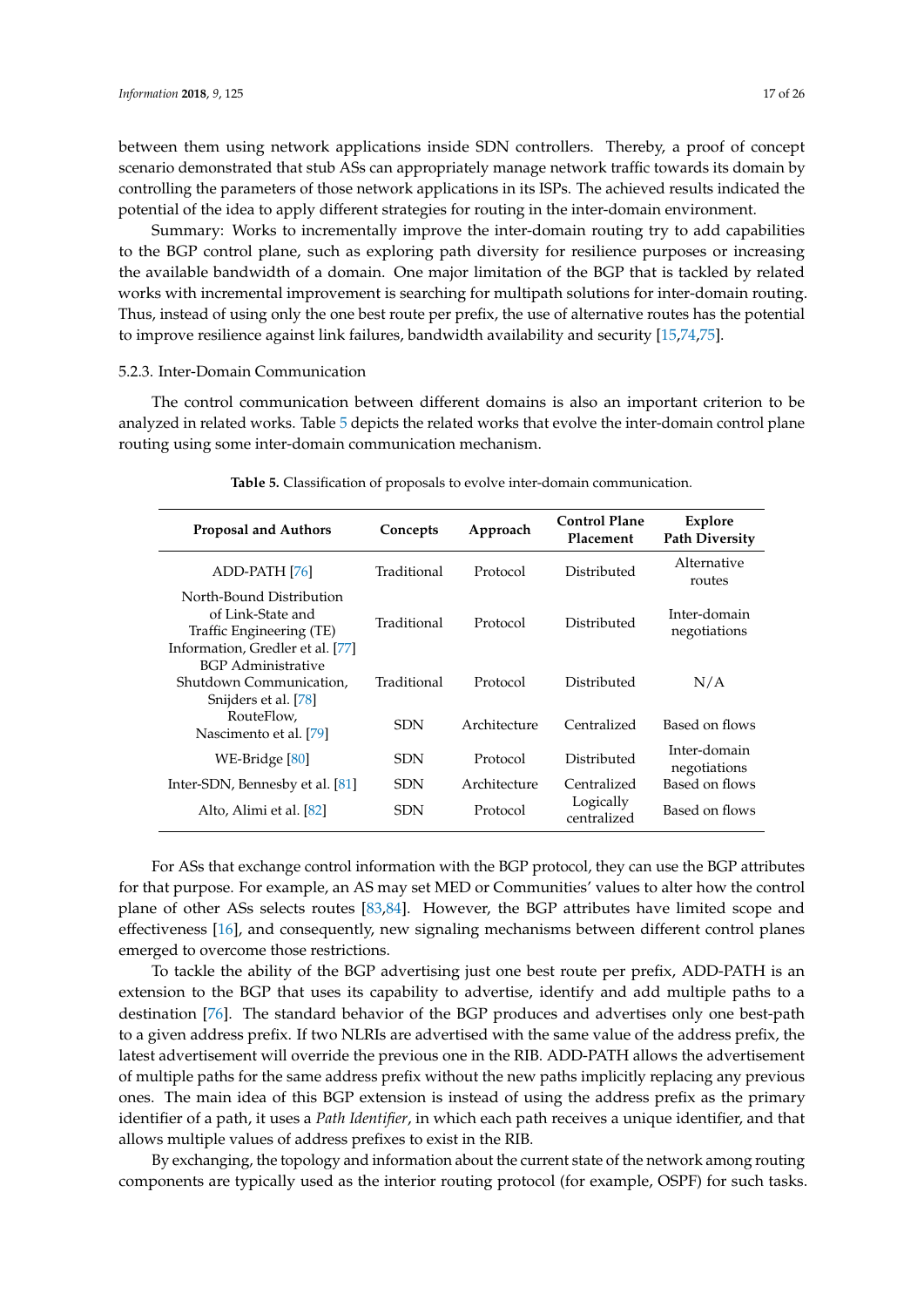between them using network applications inside SDN controllers. Thereby, a proof of concept scenario demonstrated that stub ASs can appropriately manage network traffic towards its domain by controlling the parameters of those network applications in its ISPs. The achieved results indicated the potential of the idea to apply different strategies for routing in the inter-domain environment.

Summary: Works to incrementally improve the inter-domain routing try to add capabilities to the BGP control plane, such as exploring path diversity for resilience purposes or increasing the available bandwidth of a domain. One major limitation of the BGP that is tackled by related works with incremental improvement is searching for multipath solutions for inter-domain routing. Thus, instead of using only the one best route per prefix, the use of alternative routes has the potential to improve resilience against link failures, bandwidth availability and security [\[15,](#page-21-12)[74,](#page-24-6)[75\]](#page-24-7).

#### 5.2.3. Inter-Domain Communication

The control communication between different domains is also an important criterion to be analyzed in related works. Table [5](#page-16-0) depicts the related works that evolve the inter-domain control plane routing using some inter-domain communication mechanism.

<span id="page-16-0"></span>

| <b>Proposal and Authors</b>                                                                                   | Concepts    | Approach     | <b>Control Plane</b><br>Placement | <b>Explore</b><br><b>Path Diversity</b> |
|---------------------------------------------------------------------------------------------------------------|-------------|--------------|-----------------------------------|-----------------------------------------|
| ADD-PATH [76]                                                                                                 | Traditional | Protocol     | Distributed                       | Alternative<br>routes                   |
| North-Bound Distribution<br>of Link-State and<br>Traffic Engineering (TE)<br>Information, Gredler et al. [77] | Traditional | Protocol     | Distributed                       | Inter-domain<br>negotiations            |
| BGP Administrative<br>Shutdown Communication,<br>Snijders et al. [78]                                         | Traditional | Protocol     | Distributed                       | N/A                                     |
| RouteFlow,<br>Nascimento et al. [79]                                                                          | <b>SDN</b>  | Architecture | Centralized                       | Based on flows                          |
| WE-Bridge [80]                                                                                                | <b>SDN</b>  | Protocol     | Distributed                       | Inter-domain<br>negotiations            |
| Inter-SDN, Bennesby et al. [81]                                                                               | <b>SDN</b>  | Architecture | Centralized                       | Based on flows                          |
| <b>SDN</b><br>Alto, Alimi et al. [82]                                                                         |             | Protocol     | Logically<br>centralized          | Based on flows                          |

**Table 5.** Classification of proposals to evolve inter-domain communication.

For ASs that exchange control information with the BGP protocol, they can use the BGP attributes for that purpose. For example, an AS may set MED or Communities' values to alter how the control plane of other ASs selects routes [\[83](#page-24-15)[,84\]](#page-24-16). However, the BGP attributes have limited scope and effectiveness [\[16\]](#page-21-13), and consequently, new signaling mechanisms between different control planes emerged to overcome those restrictions.

To tackle the ability of the BGP advertising just one best route per prefix, ADD-PATH is an extension to the BGP that uses its capability to advertise, identify and add multiple paths to a destination [\[76\]](#page-24-8). The standard behavior of the BGP produces and advertises only one best-path to a given address prefix. If two NLRIs are advertised with the same value of the address prefix, the latest advertisement will override the previous one in the RIB. ADD-PATH allows the advertisement of multiple paths for the same address prefix without the new paths implicitly replacing any previous ones. The main idea of this BGP extension is instead of using the address prefix as the primary identifier of a path, it uses a *Path Identifier*, in which each path receives a unique identifier, and that allows multiple values of address prefixes to exist in the RIB.

By exchanging, the topology and information about the current state of the network among routing components are typically used as the interior routing protocol (for example, OSPF) for such tasks.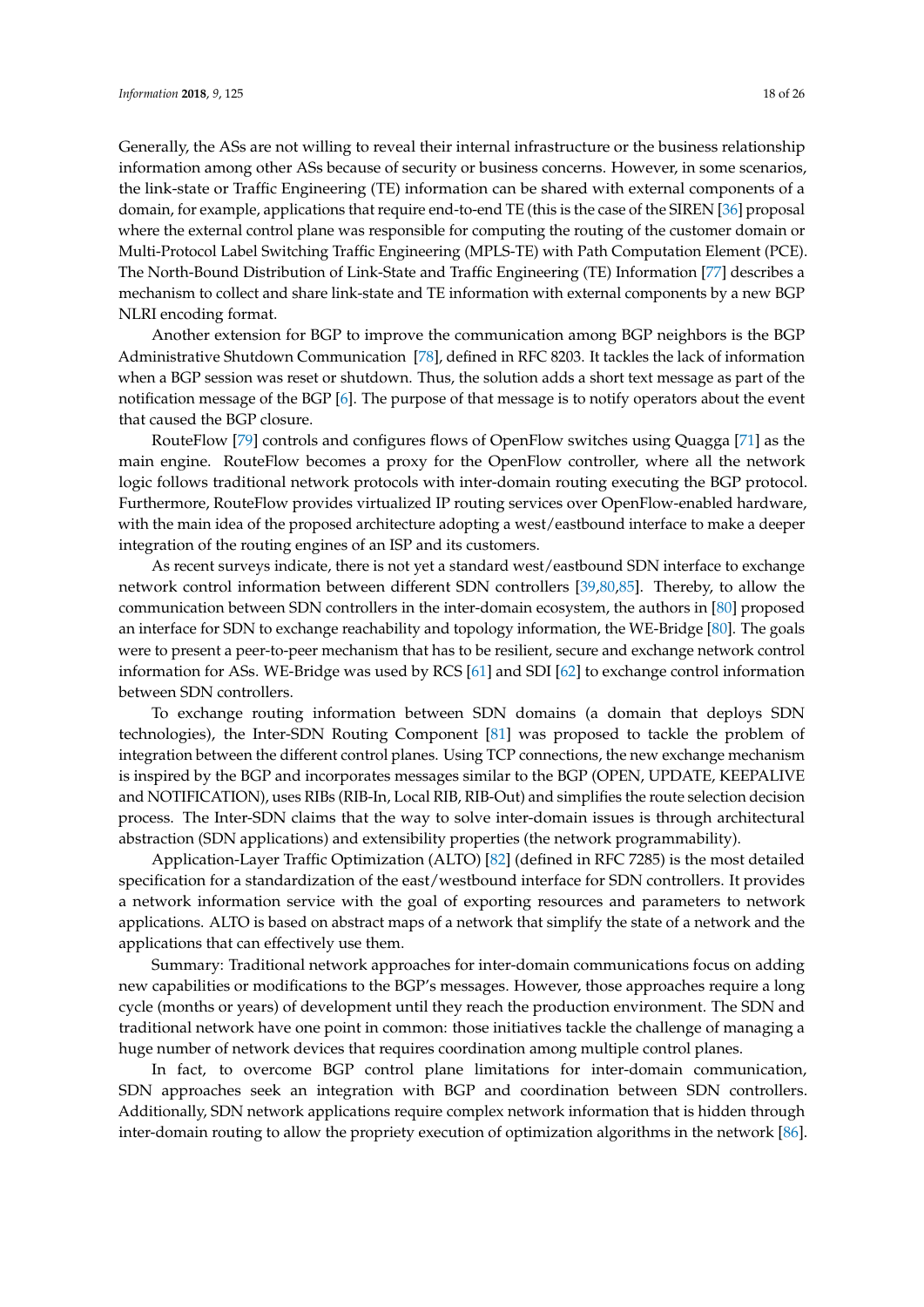Generally, the ASs are not willing to reveal their internal infrastructure or the business relationship information among other ASs because of security or business concerns. However, in some scenarios, the link-state or Traffic Engineering (TE) information can be shared with external components of a domain, for example, applications that require end-to-end TE (this is the case of the SIREN [\[36\]](#page-22-10) proposal where the external control plane was responsible for computing the routing of the customer domain or Multi-Protocol Label Switching Traffic Engineering (MPLS-TE) with Path Computation Element (PCE). The North-Bound Distribution of Link-State and Traffic Engineering (TE) Information [\[77\]](#page-24-9) describes a mechanism to collect and share link-state and TE information with external components by a new BGP NLRI encoding format.

Another extension for BGP to improve the communication among BGP neighbors is the BGP Administrative Shutdown Communication [\[78\]](#page-24-10), defined in RFC 8203. It tackles the lack of information when a BGP session was reset or shutdown. Thus, the solution adds a short text message as part of the notification message of the BGP [\[6\]](#page-21-4). The purpose of that message is to notify operators about the event that caused the BGP closure.

RouteFlow [\[79\]](#page-24-11) controls and configures flows of OpenFlow switches using Quagga [\[71\]](#page-24-3) as the main engine. RouteFlow becomes a proxy for the OpenFlow controller, where all the network logic follows traditional network protocols with inter-domain routing executing the BGP protocol. Furthermore, RouteFlow provides virtualized IP routing services over OpenFlow-enabled hardware, with the main idea of the proposed architecture adopting a west/eastbound interface to make a deeper integration of the routing engines of an ISP and its customers.

As recent surveys indicate, there is not yet a standard west/eastbound SDN interface to exchange network control information between different SDN controllers [\[39](#page-22-13)[,80](#page-24-12)[,85\]](#page-24-17). Thereby, to allow the communication between SDN controllers in the inter-domain ecosystem, the authors in [\[80\]](#page-24-12) proposed an interface for SDN to exchange reachability and topology information, the WE-Bridge [\[80\]](#page-24-12). The goals were to present a peer-to-peer mechanism that has to be resilient, secure and exchange network control information for ASs. WE-Bridge was used by RCS [\[61\]](#page-23-13) and SDI [\[62\]](#page-23-14) to exchange control information between SDN controllers.

To exchange routing information between SDN domains (a domain that deploys SDN technologies), the Inter-SDN Routing Component [\[81\]](#page-24-13) was proposed to tackle the problem of integration between the different control planes. Using TCP connections, the new exchange mechanism is inspired by the BGP and incorporates messages similar to the BGP (OPEN, UPDATE, KEEPALIVE and NOTIFICATION), uses RIBs (RIB-In, Local RIB, RIB-Out) and simplifies the route selection decision process. The Inter-SDN claims that the way to solve inter-domain issues is through architectural abstraction (SDN applications) and extensibility properties (the network programmability).

Application-Layer Traffic Optimization (ALTO) [\[82\]](#page-24-14) (defined in RFC 7285) is the most detailed specification for a standardization of the east/westbound interface for SDN controllers. It provides a network information service with the goal of exporting resources and parameters to network applications. ALTO is based on abstract maps of a network that simplify the state of a network and the applications that can effectively use them.

Summary: Traditional network approaches for inter-domain communications focus on adding new capabilities or modifications to the BGP's messages. However, those approaches require a long cycle (months or years) of development until they reach the production environment. The SDN and traditional network have one point in common: those initiatives tackle the challenge of managing a huge number of network devices that requires coordination among multiple control planes.

In fact, to overcome BGP control plane limitations for inter-domain communication, SDN approaches seek an integration with BGP and coordination between SDN controllers. Additionally, SDN network applications require complex network information that is hidden through inter-domain routing to allow the propriety execution of optimization algorithms in the network [\[86\]](#page-24-18).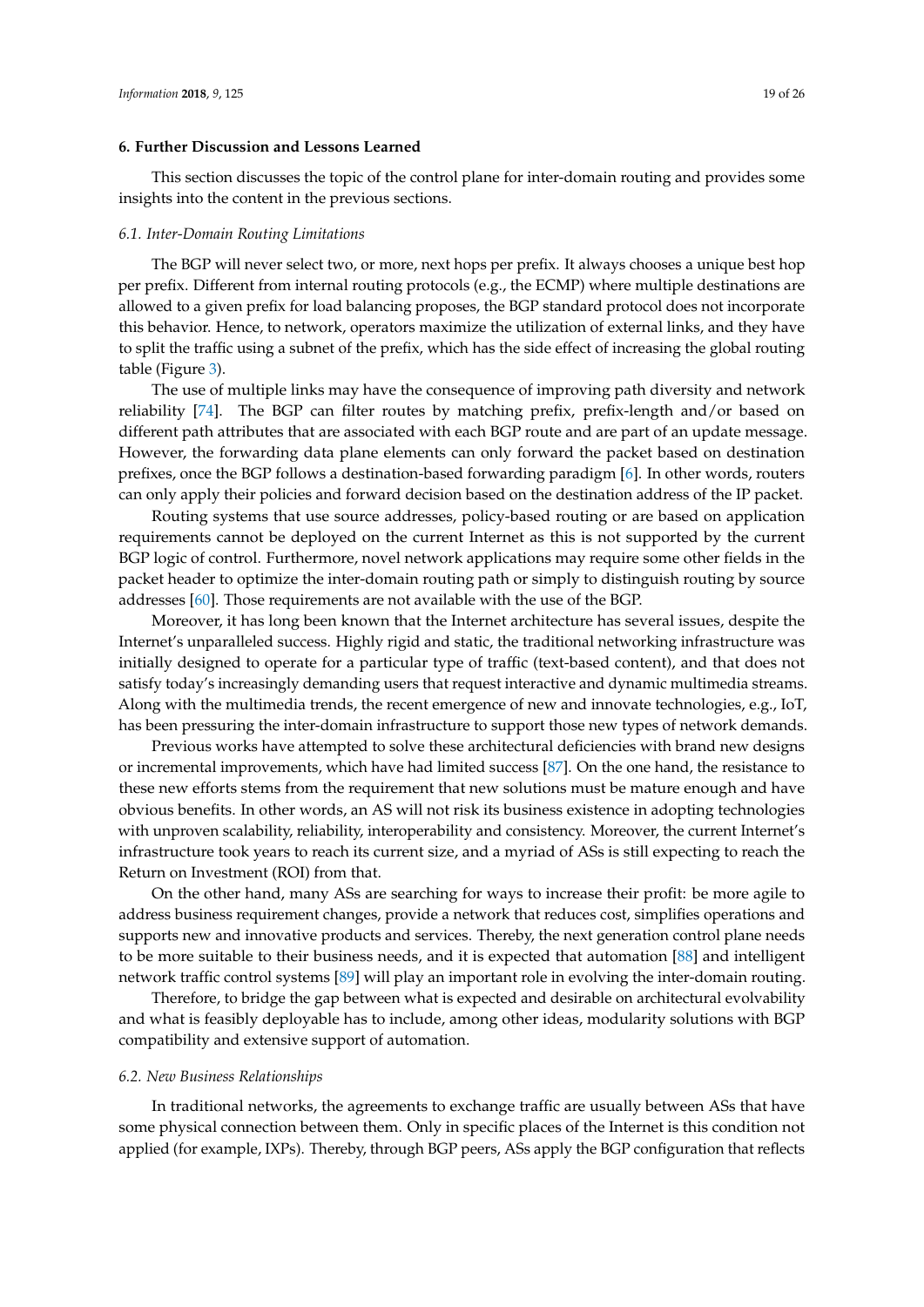## <span id="page-18-0"></span>**6. Further Discussion and Lessons Learned**

This section discusses the topic of the control plane for inter-domain routing and provides some insights into the content in the previous sections.

#### *6.1. Inter-Domain Routing Limitations*

The BGP will never select two, or more, next hops per prefix. It always chooses a unique best hop per prefix. Different from internal routing protocols (e.g., the ECMP) where multiple destinations are allowed to a given prefix for load balancing proposes, the BGP standard protocol does not incorporate this behavior. Hence, to network, operators maximize the utilization of external links, and they have to split the traffic using a subnet of the prefix, which has the side effect of increasing the global routing table (Figure [3\)](#page-10-1).

The use of multiple links may have the consequence of improving path diversity and network reliability [\[74\]](#page-24-6). The BGP can filter routes by matching prefix, prefix-length and/or based on different path attributes that are associated with each BGP route and are part of an update message. However, the forwarding data plane elements can only forward the packet based on destination prefixes, once the BGP follows a destination-based forwarding paradigm [\[6\]](#page-21-4). In other words, routers can only apply their policies and forward decision based on the destination address of the IP packet.

Routing systems that use source addresses, policy-based routing or are based on application requirements cannot be deployed on the current Internet as this is not supported by the current BGP logic of control. Furthermore, novel network applications may require some other fields in the packet header to optimize the inter-domain routing path or simply to distinguish routing by source addresses [\[60\]](#page-23-12). Those requirements are not available with the use of the BGP.

Moreover, it has long been known that the Internet architecture has several issues, despite the Internet's unparalleled success. Highly rigid and static, the traditional networking infrastructure was initially designed to operate for a particular type of traffic (text-based content), and that does not satisfy today's increasingly demanding users that request interactive and dynamic multimedia streams. Along with the multimedia trends, the recent emergence of new and innovate technologies, e.g., IoT, has been pressuring the inter-domain infrastructure to support those new types of network demands.

Previous works have attempted to solve these architectural deficiencies with brand new designs or incremental improvements, which have had limited success [\[87\]](#page-24-19). On the one hand, the resistance to these new efforts stems from the requirement that new solutions must be mature enough and have obvious benefits. In other words, an AS will not risk its business existence in adopting technologies with unproven scalability, reliability, interoperability and consistency. Moreover, the current Internet's infrastructure took years to reach its current size, and a myriad of ASs is still expecting to reach the Return on Investment (ROI) from that.

On the other hand, many ASs are searching for ways to increase their profit: be more agile to address business requirement changes, provide a network that reduces cost, simplifies operations and supports new and innovative products and services. Thereby, the next generation control plane needs to be more suitable to their business needs, and it is expected that automation [\[88\]](#page-24-20) and intelligent network traffic control systems [\[89\]](#page-25-0) will play an important role in evolving the inter-domain routing.

Therefore, to bridge the gap between what is expected and desirable on architectural evolvability and what is feasibly deployable has to include, among other ideas, modularity solutions with BGP compatibility and extensive support of automation.

#### *6.2. New Business Relationships*

In traditional networks, the agreements to exchange traffic are usually between ASs that have some physical connection between them. Only in specific places of the Internet is this condition not applied (for example, IXPs). Thereby, through BGP peers, ASs apply the BGP configuration that reflects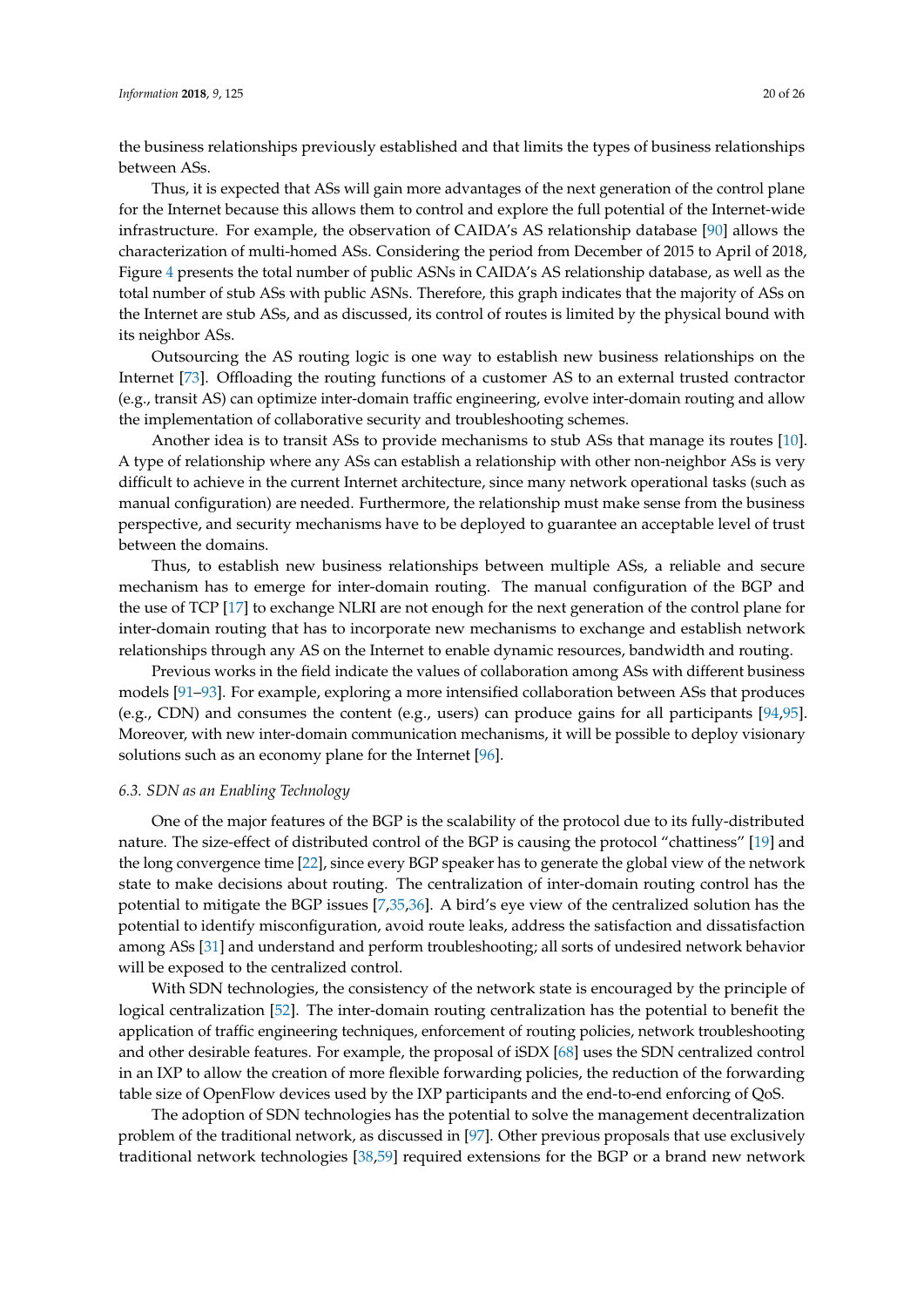the business relationships previously established and that limits the types of business relationships between ASs.

Thus, it is expected that ASs will gain more advantages of the next generation of the control plane for the Internet because this allows them to control and explore the full potential of the Internet-wide infrastructure. For example, the observation of CAIDA's AS relationship database [\[90\]](#page-25-1) allows the characterization of multi-homed ASs. Considering the period from December of 2015 to April of 2018, Figure [4](#page-10-2) presents the total number of public ASNs in CAIDA's AS relationship database, as well as the total number of stub ASs with public ASNs. Therefore, this graph indicates that the majority of ASs on the Internet are stub ASs, and as discussed, its control of routes is limited by the physical bound with its neighbor ASs.

Outsourcing the AS routing logic is one way to establish new business relationships on the Internet [\[73\]](#page-24-5). Offloading the routing functions of a customer AS to an external trusted contractor (e.g., transit AS) can optimize inter-domain traffic engineering, evolve inter-domain routing and allow the implementation of collaborative security and troubleshooting schemes.

Another idea is to transit ASs to provide mechanisms to stub ASs that manage its routes [\[10\]](#page-21-7). A type of relationship where any ASs can establish a relationship with other non-neighbor ASs is very difficult to achieve in the current Internet architecture, since many network operational tasks (such as manual configuration) are needed. Furthermore, the relationship must make sense from the business perspective, and security mechanisms have to be deployed to guarantee an acceptable level of trust between the domains.

Thus, to establish new business relationships between multiple ASs, a reliable and secure mechanism has to emerge for inter-domain routing. The manual configuration of the BGP and the use of TCP [\[17\]](#page-21-14) to exchange NLRI are not enough for the next generation of the control plane for inter-domain routing that has to incorporate new mechanisms to exchange and establish network relationships through any AS on the Internet to enable dynamic resources, bandwidth and routing.

Previous works in the field indicate the values of collaboration among ASs with different business models [\[91–](#page-25-2)[93\]](#page-25-3). For example, exploring a more intensified collaboration between ASs that produces (e.g., CDN) and consumes the content (e.g., users) can produce gains for all participants [\[94,](#page-25-4)[95\]](#page-25-5). Moreover, with new inter-domain communication mechanisms, it will be possible to deploy visionary solutions such as an economy plane for the Internet [\[96\]](#page-25-6).

## *6.3. SDN as an Enabling Technology*

One of the major features of the BGP is the scalability of the protocol due to its fully-distributed nature. The size-effect of distributed control of the BGP is causing the protocol "chattiness" [\[19\]](#page-21-16) and the long convergence time [\[22\]](#page-21-19), since every BGP speaker has to generate the global view of the network state to make decisions about routing. The centralization of inter-domain routing control has the potential to mitigate the BGP issues [\[7,](#page-21-5)[35,](#page-22-9)[36\]](#page-22-10). A bird's eye view of the centralized solution has the potential to identify misconfiguration, avoid route leaks, address the satisfaction and dissatisfaction among ASs [\[31\]](#page-22-5) and understand and perform troubleshooting; all sorts of undesired network behavior will be exposed to the centralized control.

With SDN technologies, the consistency of the network state is encouraged by the principle of logical centralization [\[52\]](#page-23-4). The inter-domain routing centralization has the potential to benefit the application of traffic engineering techniques, enforcement of routing policies, network troubleshooting and other desirable features. For example, the proposal of iSDX [\[68\]](#page-24-0) uses the SDN centralized control in an IXP to allow the creation of more flexible forwarding policies, the reduction of the forwarding table size of OpenFlow devices used by the IXP participants and the end-to-end enforcing of QoS.

The adoption of SDN technologies has the potential to solve the management decentralization problem of the traditional network, as discussed in [\[97\]](#page-25-7). Other previous proposals that use exclusively traditional network technologies [\[38,](#page-22-12)[59\]](#page-23-11) required extensions for the BGP or a brand new network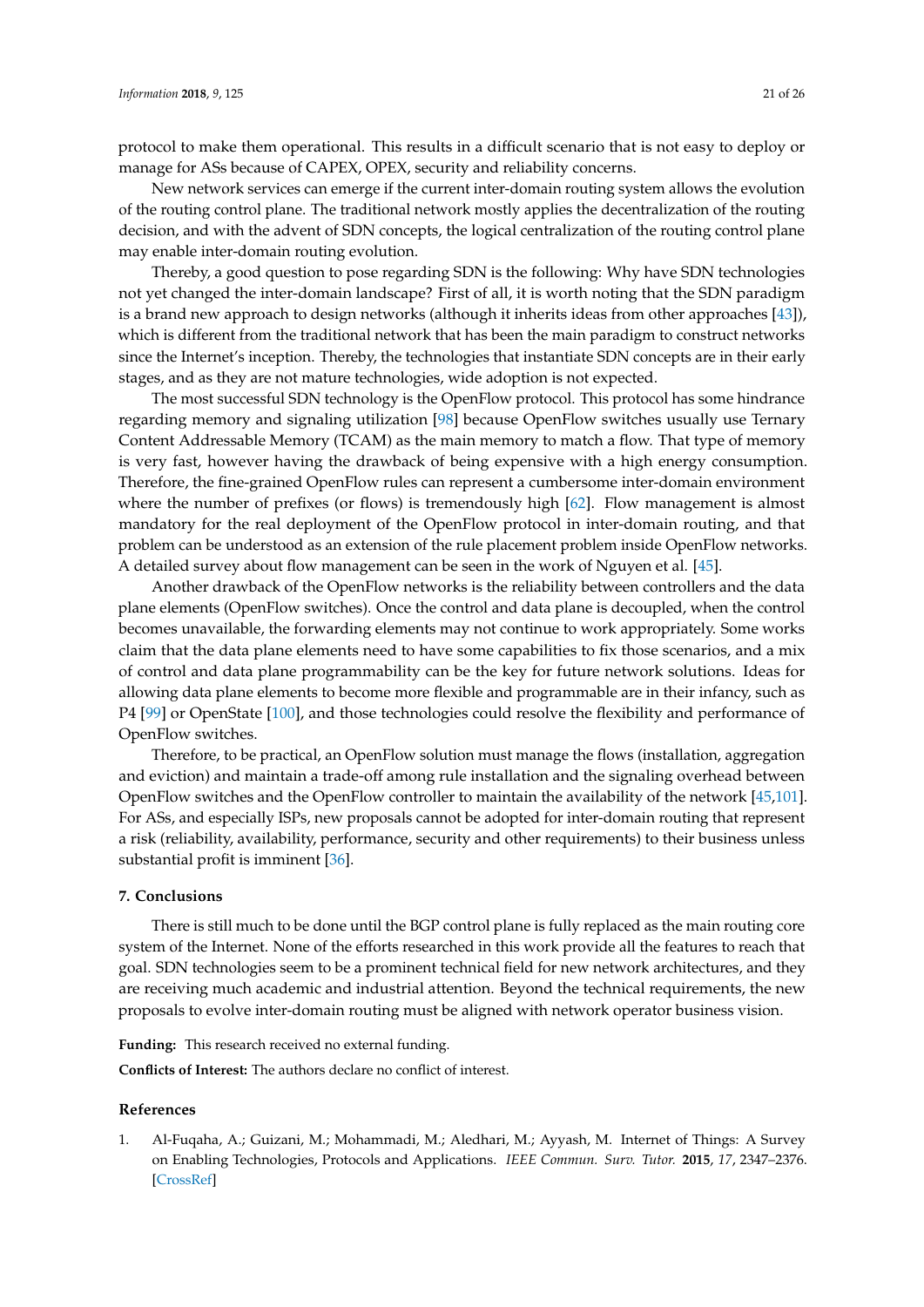protocol to make them operational. This results in a difficult scenario that is not easy to deploy or manage for ASs because of CAPEX, OPEX, security and reliability concerns.

New network services can emerge if the current inter-domain routing system allows the evolution of the routing control plane. The traditional network mostly applies the decentralization of the routing decision, and with the advent of SDN concepts, the logical centralization of the routing control plane may enable inter-domain routing evolution.

Thereby, a good question to pose regarding SDN is the following: Why have SDN technologies not yet changed the inter-domain landscape? First of all, it is worth noting that the SDN paradigm is a brand new approach to design networks (although it inherits ideas from other approaches [\[43\]](#page-22-17)), which is different from the traditional network that has been the main paradigm to construct networks since the Internet's inception. Thereby, the technologies that instantiate SDN concepts are in their early stages, and as they are not mature technologies, wide adoption is not expected.

The most successful SDN technology is the OpenFlow protocol. This protocol has some hindrance regarding memory and signaling utilization [\[98\]](#page-25-8) because OpenFlow switches usually use Ternary Content Addressable Memory (TCAM) as the main memory to match a flow. That type of memory is very fast, however having the drawback of being expensive with a high energy consumption. Therefore, the fine-grained OpenFlow rules can represent a cumbersome inter-domain environment where the number of prefixes (or flows) is tremendously high [\[62\]](#page-23-14). Flow management is almost mandatory for the real deployment of the OpenFlow protocol in inter-domain routing, and that problem can be understood as an extension of the rule placement problem inside OpenFlow networks. A detailed survey about flow management can be seen in the work of Nguyen et al. [\[45\]](#page-22-19).

Another drawback of the OpenFlow networks is the reliability between controllers and the data plane elements (OpenFlow switches). Once the control and data plane is decoupled, when the control becomes unavailable, the forwarding elements may not continue to work appropriately. Some works claim that the data plane elements need to have some capabilities to fix those scenarios, and a mix of control and data plane programmability can be the key for future network solutions. Ideas for allowing data plane elements to become more flexible and programmable are in their infancy, such as P4 [\[99\]](#page-25-9) or OpenState [\[100\]](#page-25-10), and those technologies could resolve the flexibility and performance of OpenFlow switches.

Therefore, to be practical, an OpenFlow solution must manage the flows (installation, aggregation and eviction) and maintain a trade-off among rule installation and the signaling overhead between OpenFlow switches and the OpenFlow controller to maintain the availability of the network [\[45,](#page-22-19)[101\]](#page-25-11). For ASs, and especially ISPs, new proposals cannot be adopted for inter-domain routing that represent a risk (reliability, availability, performance, security and other requirements) to their business unless substantial profit is imminent [\[36\]](#page-22-10).

#### <span id="page-20-1"></span>**7. Conclusions**

There is still much to be done until the BGP control plane is fully replaced as the main routing core system of the Internet. None of the efforts researched in this work provide all the features to reach that goal. SDN technologies seem to be a prominent technical field for new network architectures, and they are receiving much academic and industrial attention. Beyond the technical requirements, the new proposals to evolve inter-domain routing must be aligned with network operator business vision.

**Funding:** This research received no external funding.

**Conflicts of Interest:** The authors declare no conflict of interest.

#### **References**

<span id="page-20-0"></span>1. Al-Fuqaha, A.; Guizani, M.; Mohammadi, M.; Aledhari, M.; Ayyash, M. Internet of Things: A Survey on Enabling Technologies, Protocols and Applications. *IEEE Commun. Surv. Tutor.* **2015**, *17*, 2347–2376. [\[CrossRef\]](http://dx.doi.org/10.1109/COMST.2015.2444095)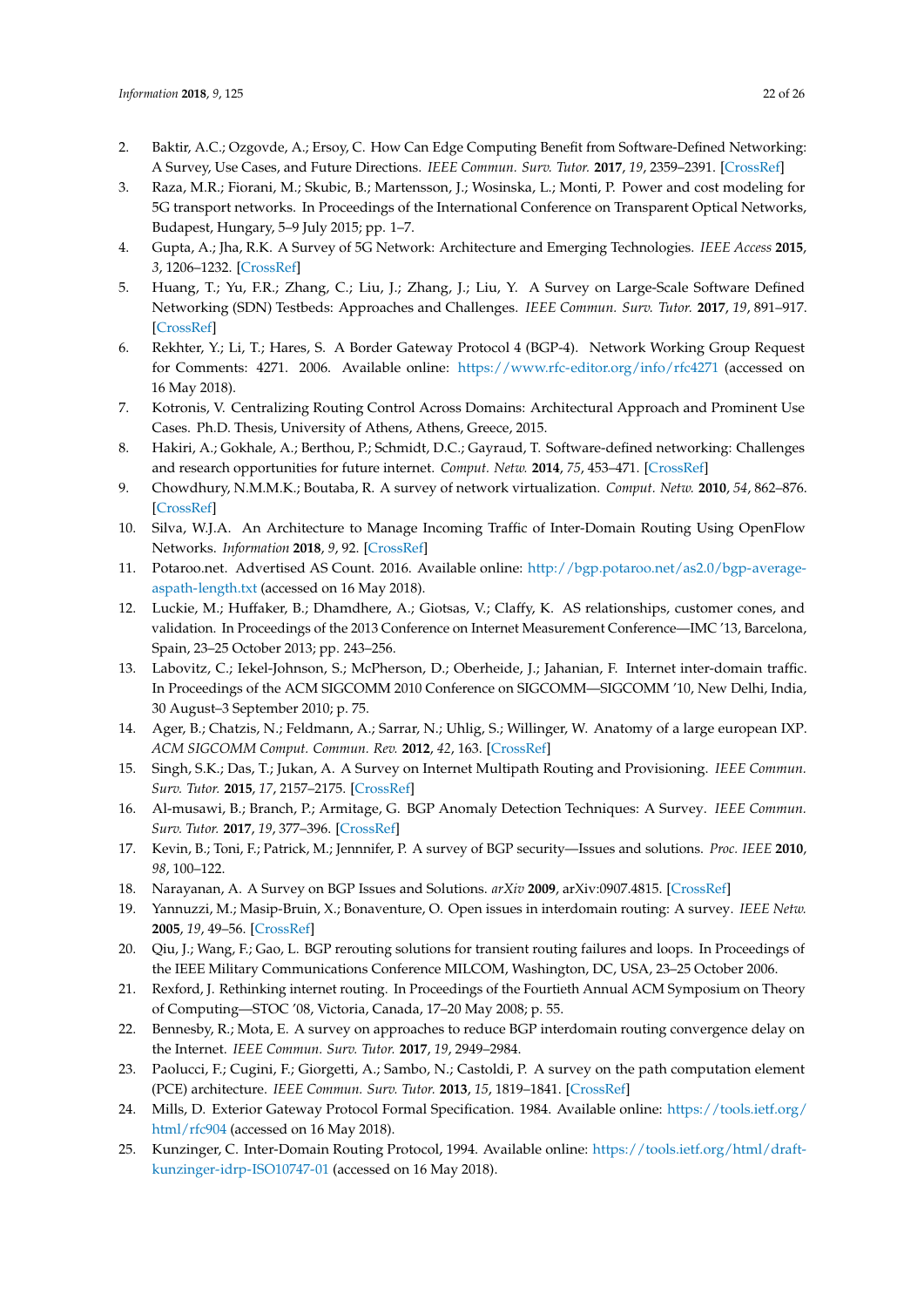- <span id="page-21-0"></span>2. Baktir, A.C.; Ozgovde, A.; Ersoy, C. How Can Edge Computing Benefit from Software-Defined Networking: A Survey, Use Cases, and Future Directions. *IEEE Commun. Surv. Tutor.* **2017**, *19*, 2359–2391. [\[CrossRef\]](http://dx.doi.org/10.1109/COMST.2017.2717482)
- <span id="page-21-1"></span>3. Raza, M.R.; Fiorani, M.; Skubic, B.; Martensson, J.; Wosinska, L.; Monti, P. Power and cost modeling for 5G transport networks. In Proceedings of the International Conference on Transparent Optical Networks, Budapest, Hungary, 5–9 July 2015; pp. 1–7.
- <span id="page-21-2"></span>4. Gupta, A.; Jha, R.K. A Survey of 5G Network: Architecture and Emerging Technologies. *IEEE Access* **2015**, *3*, 1206–1232. [\[CrossRef\]](http://dx.doi.org/10.1109/ACCESS.2015.2461602)
- <span id="page-21-3"></span>5. Huang, T.; Yu, F.R.; Zhang, C.; Liu, J.; Zhang, J.; Liu, Y. A Survey on Large-Scale Software Defined Networking (SDN) Testbeds: Approaches and Challenges. *IEEE Commun. Surv. Tutor.* **2017**, *19*, 891–917. [\[CrossRef\]](http://dx.doi.org/10.1109/COMST.2016.2630047)
- <span id="page-21-4"></span>6. Rekhter, Y.; Li, T.; Hares, S. A Border Gateway Protocol 4 (BGP-4). Network Working Group Request for Comments: 4271. 2006. Available online: <https://www.rfc-editor.org/info/rfc4271> (accessed on 16 May 2018).
- <span id="page-21-5"></span>7. Kotronis, V. Centralizing Routing Control Across Domains: Architectural Approach and Prominent Use Cases. Ph.D. Thesis, University of Athens, Athens, Greece, 2015.
- 8. Hakiri, A.; Gokhale, A.; Berthou, P.; Schmidt, D.C.; Gayraud, T. Software-defined networking: Challenges and research opportunities for future internet. *Comput. Netw.* **2014**, *75*, 453–471. [\[CrossRef\]](http://dx.doi.org/10.1016/j.comnet.2014.10.015)
- <span id="page-21-6"></span>9. Chowdhury, N.M.M.K.; Boutaba, R. A survey of network virtualization. *Comput. Netw.* **2010**, *54*, 862–876. [\[CrossRef\]](http://dx.doi.org/10.1016/j.comnet.2009.10.017)
- <span id="page-21-7"></span>10. Silva, W.J.A. An Architecture to Manage Incoming Traffic of Inter-Domain Routing Using OpenFlow Networks. *Information* **2018**, *9*, 92. [\[CrossRef\]](http://dx.doi.org/10.3390/info9040092)
- <span id="page-21-8"></span>11. Potaroo.net. Advertised AS Count. 2016. Available online: [http://bgp.potaroo.net/as2.0/bgp-average](http://bgp.potaroo.net/as2.0/bgp-average-aspath-length.txt)[aspath-length.txt](http://bgp.potaroo.net/as2.0/bgp-average-aspath-length.txt) (accessed on 16 May 2018).
- <span id="page-21-9"></span>12. Luckie, M.; Huffaker, B.; Dhamdhere, A.; Giotsas, V.; Claffy, K. AS relationships, customer cones, and validation. In Proceedings of the 2013 Conference on Internet Measurement Conference—IMC '13, Barcelona, Spain, 23–25 October 2013; pp. 243–256.
- <span id="page-21-10"></span>13. Labovitz, C.; Iekel-Johnson, S.; McPherson, D.; Oberheide, J.; Jahanian, F. Internet inter-domain traffic. In Proceedings of the ACM SIGCOMM 2010 Conference on SIGCOMM—SIGCOMM '10, New Delhi, India, 30 August–3 September 2010; p. 75.
- <span id="page-21-11"></span>14. Ager, B.; Chatzis, N.; Feldmann, A.; Sarrar, N.; Uhlig, S.; Willinger, W. Anatomy of a large european IXP. *ACM SIGCOMM Comput. Commun. Rev.* **2012**, *42*, 163. [\[CrossRef\]](http://dx.doi.org/10.1145/2377677.2377714)
- <span id="page-21-12"></span>15. Singh, S.K.; Das, T.; Jukan, A. A Survey on Internet Multipath Routing and Provisioning. *IEEE Commun. Surv. Tutor.* **2015**, *17*, 2157–2175. [\[CrossRef\]](http://dx.doi.org/10.1109/COMST.2015.2460222)
- <span id="page-21-13"></span>16. Al-musawi, B.; Branch, P.; Armitage, G. BGP Anomaly Detection Techniques: A Survey. *IEEE Commun. Surv. Tutor.* **2017**, *19*, 377–396. [\[CrossRef\]](http://dx.doi.org/10.1109/COMST.2016.2622240)
- <span id="page-21-14"></span>17. Kevin, B.; Toni, F.; Patrick, M.; Jennnifer, P. A survey of BGP security—Issues and solutions. *Proc. IEEE* **2010**, *98*, 100–122.
- <span id="page-21-15"></span>18. Narayanan, A. A Survey on BGP Issues and Solutions. *arXiv* **2009**, arXiv:0907.4815. [\[CrossRef\]](http://dx.doi.org/0907.4815)
- <span id="page-21-16"></span>19. Yannuzzi, M.; Masip-Bruin, X.; Bonaventure, O. Open issues in interdomain routing: A survey. *IEEE Netw.* **2005**, *19*, 49–56. [\[CrossRef\]](http://dx.doi.org/10.1109/MNET.2005.1541721)
- <span id="page-21-17"></span>20. Qiu, J.; Wang, F.; Gao, L. BGP rerouting solutions for transient routing failures and loops. In Proceedings of the IEEE Military Communications Conference MILCOM, Washington, DC, USA, 23–25 October 2006.
- <span id="page-21-18"></span>21. Rexford, J. Rethinking internet routing. In Proceedings of the Fourtieth Annual ACM Symposium on Theory of Computing—STOC '08, Victoria, Canada, 17–20 May 2008; p. 55.
- <span id="page-21-19"></span>22. Bennesby, R.; Mota, E. A survey on approaches to reduce BGP interdomain routing convergence delay on the Internet. *IEEE Commun. Surv. Tutor.* **2017**, *19*, 2949–2984.
- <span id="page-21-20"></span>23. Paolucci, F.; Cugini, F.; Giorgetti, A.; Sambo, N.; Castoldi, P. A survey on the path computation element (PCE) architecture. *IEEE Commun. Surv. Tutor.* **2013**, *15*, 1819–1841. [\[CrossRef\]](http://dx.doi.org/10.1109/SURV.2013.011413.00087)
- <span id="page-21-21"></span>24. Mills, D. Exterior Gateway Protocol Formal Specification. 1984. Available online: [https://tools.ietf.org/](https://tools.ietf.org/html/rfc904) [html/rfc904](https://tools.ietf.org/html/rfc904) (accessed on 16 May 2018).
- <span id="page-21-22"></span>25. Kunzinger, C. Inter-Domain Routing Protocol, 1994. Available online: [https://tools.ietf.org/html/draft](https://tools.ietf.org/html/draft-kunzinger-idrp-ISO10747-01)[kunzinger-idrp-ISO10747-01](https://tools.ietf.org/html/draft-kunzinger-idrp-ISO10747-01) (accessed on 16 May 2018).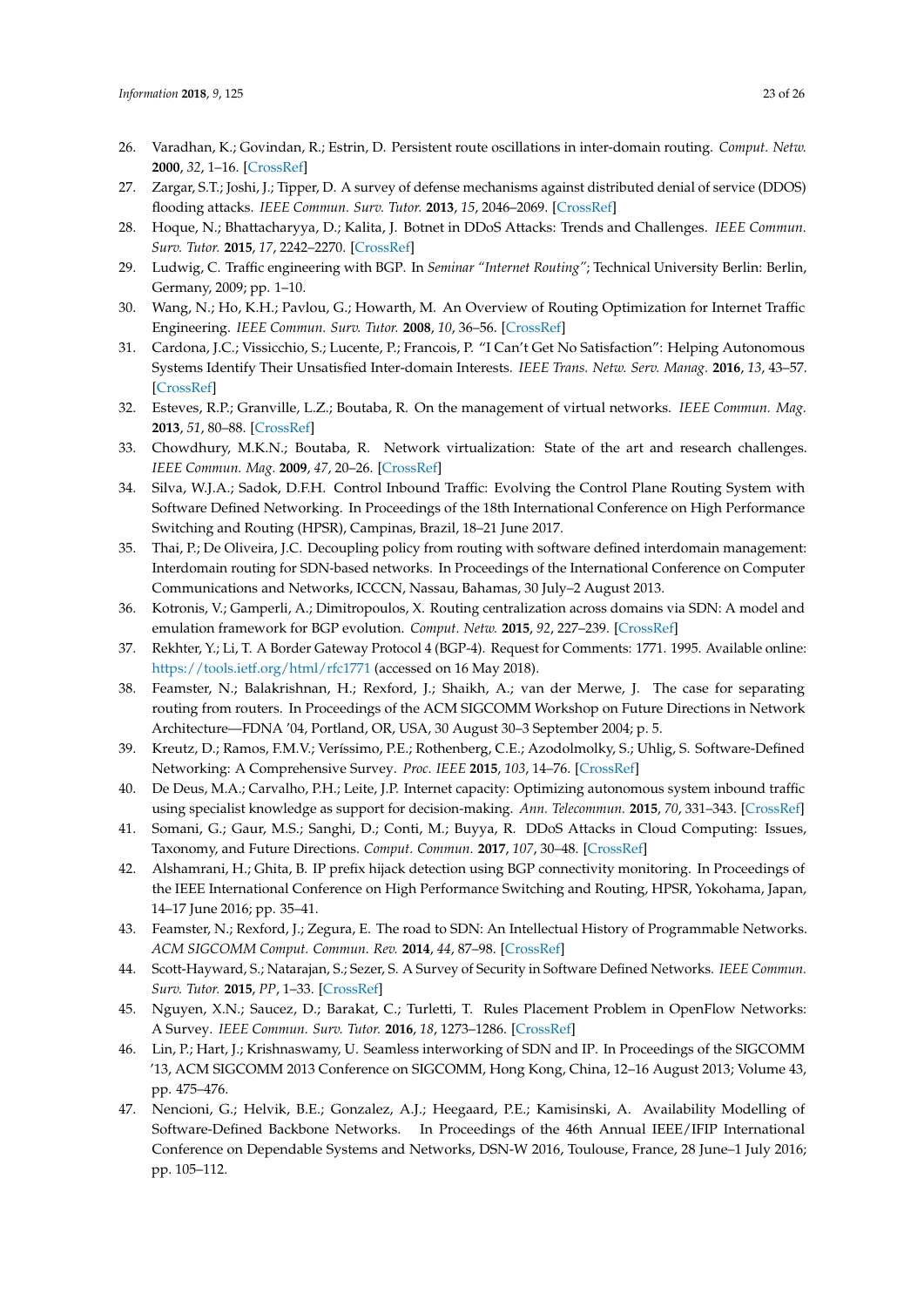- <span id="page-22-0"></span>26. Varadhan, K.; Govindan, R.; Estrin, D. Persistent route oscillations in inter-domain routing. *Comput. Netw.* **2000**, *32*, 1–16. [\[CrossRef\]](http://dx.doi.org/10.1016/S1389-1286(99)00108-5)
- <span id="page-22-1"></span>27. Zargar, S.T.; Joshi, J.; Tipper, D. A survey of defense mechanisms against distributed denial of service (DDOS) flooding attacks. *IEEE Commun. Surv. Tutor.* **2013**, *15*, 2046–2069. [\[CrossRef\]](http://dx.doi.org/10.1109/SURV.2013.031413.00127)
- <span id="page-22-2"></span>28. Hoque, N.; Bhattacharyya, D.; Kalita, J. Botnet in DDoS Attacks: Trends and Challenges. *IEEE Commun. Surv. Tutor.* **2015**, *17*, 2242–2270. [\[CrossRef\]](http://dx.doi.org/10.1109/COMST.2015.2457491)
- <span id="page-22-3"></span>29. Ludwig, C. Traffic engineering with BGP. In *Seminar "Internet Routing"*; Technical University Berlin: Berlin, Germany, 2009; pp. 1–10.
- <span id="page-22-4"></span>30. Wang, N.; Ho, K.H.; Pavlou, G.; Howarth, M. An Overview of Routing Optimization for Internet Traffic Engineering. *IEEE Commun. Surv. Tutor.* **2008**, *10*, 36–56. [\[CrossRef\]](http://dx.doi.org/10.1109/COMST.2008.4483669)
- <span id="page-22-5"></span>31. Cardona, J.C.; Vissicchio, S.; Lucente, P.; Francois, P. "I Can't Get No Satisfaction": Helping Autonomous Systems Identify Their Unsatisfied Inter-domain Interests. *IEEE Trans. Netw. Serv. Manag.* **2016**, *13*, 43–57. [\[CrossRef\]](http://dx.doi.org/10.1109/TNSM.2016.2525003)
- <span id="page-22-6"></span>32. Esteves, R.P.; Granville, L.Z.; Boutaba, R. On the management of virtual networks. *IEEE Commun. Mag.* **2013**, *51*, 80–88. [\[CrossRef\]](http://dx.doi.org/10.1109/MCOM.2013.6553682)
- <span id="page-22-7"></span>33. Chowdhury, M.K.N.; Boutaba, R. Network virtualization: State of the art and research challenges. *IEEE Commun. Mag.* **2009**, *47*, 20–26. [\[CrossRef\]](http://dx.doi.org/10.1109/MCOM.2009.5183468)
- <span id="page-22-8"></span>34. Silva, W.J.A.; Sadok, D.F.H. Control Inbound Traffic: Evolving the Control Plane Routing System with Software Defined Networking. In Proceedings of the 18th International Conference on High Performance Switching and Routing (HPSR), Campinas, Brazil, 18–21 June 2017.
- <span id="page-22-9"></span>35. Thai, P.; De Oliveira, J.C. Decoupling policy from routing with software defined interdomain management: Interdomain routing for SDN-based networks. In Proceedings of the International Conference on Computer Communications and Networks, ICCCN, Nassau, Bahamas, 30 July–2 August 2013.
- <span id="page-22-10"></span>36. Kotronis, V.; Gamperli, A.; Dimitropoulos, X. Routing centralization across domains via SDN: A model and emulation framework for BGP evolution. *Comput. Netw.* **2015**, *92*, 227–239. [\[CrossRef\]](http://dx.doi.org/10.1016/j.comnet.2015.07.015)
- <span id="page-22-11"></span>37. Rekhter, Y.; Li, T. A Border Gateway Protocol 4 (BGP-4). Request for Comments: 1771. 1995. Available online: <https://tools.ietf.org/html/rfc1771> (accessed on 16 May 2018).
- <span id="page-22-12"></span>38. Feamster, N.; Balakrishnan, H.; Rexford, J.; Shaikh, A.; van der Merwe, J. The case for separating routing from routers. In Proceedings of the ACM SIGCOMM Workshop on Future Directions in Network Architecture—FDNA '04, Portland, OR, USA, 30 August 30–3 September 2004; p. 5.
- <span id="page-22-13"></span>39. Kreutz, D.; Ramos, F.M.V.; Veríssimo, P.E.; Rothenberg, C.E.; Azodolmolky, S.; Uhlig, S. Software-Defined Networking: A Comprehensive Survey. *Proc. IEEE* **2015**, *103*, 14–76. [\[CrossRef\]](http://dx.doi.org/10.1109/JPROC.2014.2371999)
- <span id="page-22-14"></span>40. De Deus, M.A.; Carvalho, P.H.; Leite, J.P. Internet capacity: Optimizing autonomous system inbound traffic using specialist knowledge as support for decision-making. *Ann. Telecommun.* **2015**, *70*, 331–343. [\[CrossRef\]](http://dx.doi.org/10.1007/s12243-014-0453-4)
- <span id="page-22-15"></span>41. Somani, G.; Gaur, M.S.; Sanghi, D.; Conti, M.; Buyya, R. DDoS Attacks in Cloud Computing: Issues, Taxonomy, and Future Directions. *Comput. Commun.* **2017**, *107*, 30–48. [\[CrossRef\]](http://dx.doi.org/10.1016/j.comcom.2017.03.010)
- <span id="page-22-16"></span>42. Alshamrani, H.; Ghita, B. IP prefix hijack detection using BGP connectivity monitoring. In Proceedings of the IEEE International Conference on High Performance Switching and Routing, HPSR, Yokohama, Japan, 14–17 June 2016; pp. 35–41.
- <span id="page-22-17"></span>43. Feamster, N.; Rexford, J.; Zegura, E. The road to SDN: An Intellectual History of Programmable Networks. *ACM SIGCOMM Comput. Commun. Rev.* **2014**, *44*, 87–98. [\[CrossRef\]](http://dx.doi.org/10.1145/2602204.2602219)
- <span id="page-22-18"></span>44. Scott-Hayward, S.; Natarajan, S.; Sezer, S. A Survey of Security in Software Defined Networks. *IEEE Commun. Surv. Tutor.* **2015**, *PP*, 1–33. [\[CrossRef\]](http://dx.doi.org/10.1109/COMST.2015.2453114)
- <span id="page-22-19"></span>45. Nguyen, X.N.; Saucez, D.; Barakat, C.; Turletti, T. Rules Placement Problem in OpenFlow Networks: A Survey. *IEEE Commun. Surv. Tutor.* **2016**, *18*, 1273–1286. [\[CrossRef\]](http://dx.doi.org/10.1109/COMST.2015.2506984)
- 46. Lin, P.; Hart, J.; Krishnaswamy, U. Seamless interworking of SDN and IP. In Proceedings of the SIGCOMM '13, ACM SIGCOMM 2013 Conference on SIGCOMM, Hong Kong, China, 12–16 August 2013; Volume 43, pp. 475–476.
- 47. Nencioni, G.; Helvik, B.E.; Gonzalez, A.J.; Heegaard, P.E.; Kamisinski, A. Availability Modelling of Software-Defined Backbone Networks. In Proceedings of the 46th Annual IEEE/IFIP International Conference on Dependable Systems and Networks, DSN-W 2016, Toulouse, France, 28 June–1 July 2016; pp. 105–112.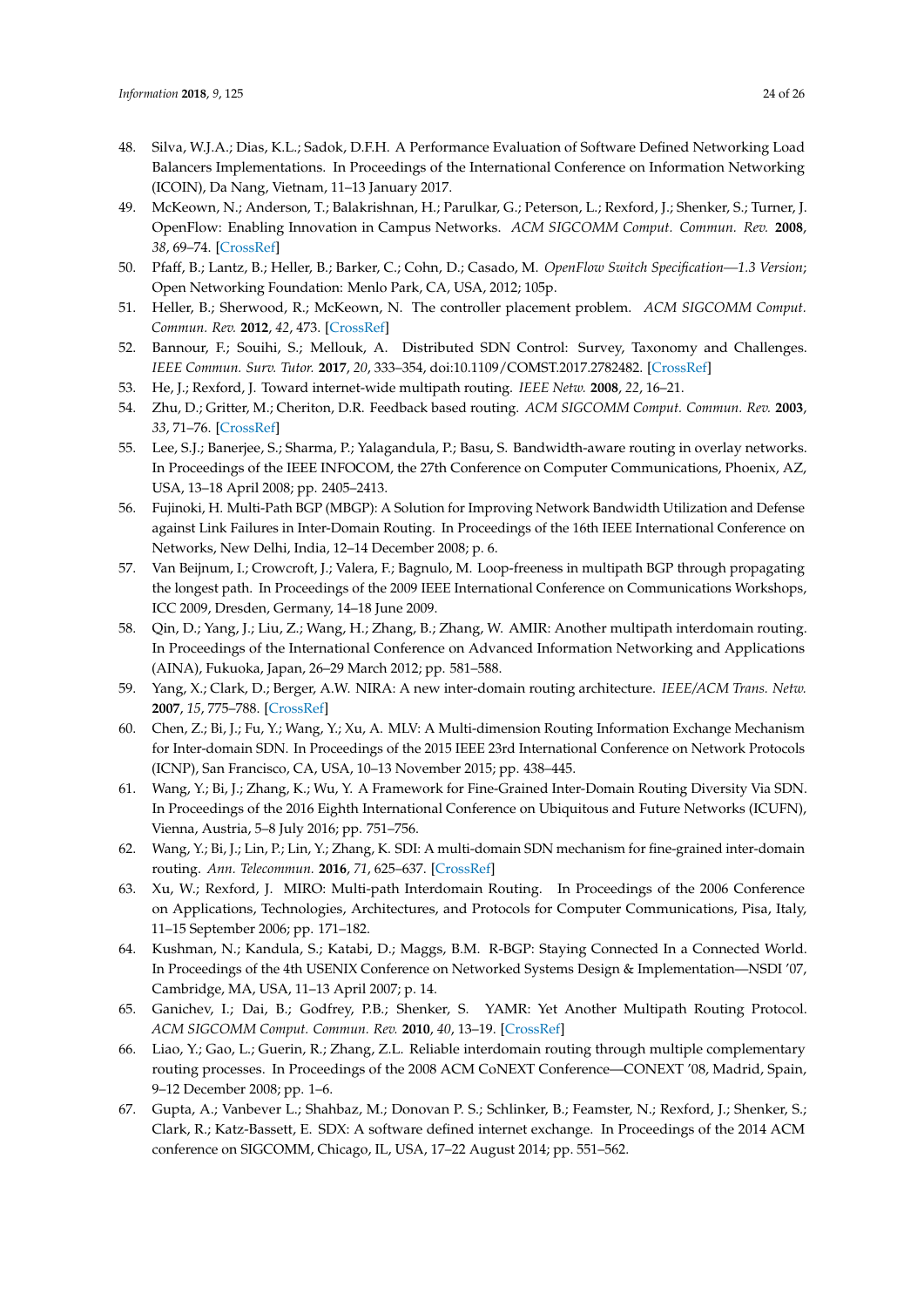- <span id="page-23-0"></span>48. Silva, W.J.A.; Dias, K.L.; Sadok, D.F.H. A Performance Evaluation of Software Defined Networking Load Balancers Implementations. In Proceedings of the International Conference on Information Networking (ICOIN), Da Nang, Vietnam, 11–13 January 2017.
- <span id="page-23-1"></span>49. McKeown, N.; Anderson, T.; Balakrishnan, H.; Parulkar, G.; Peterson, L.; Rexford, J.; Shenker, S.; Turner, J. OpenFlow: Enabling Innovation in Campus Networks. *ACM SIGCOMM Comput. Commun. Rev.* **2008**, *38*, 69–74. [\[CrossRef\]](http://dx.doi.org/10.1145/1355734.1355746)
- <span id="page-23-2"></span>50. Pfaff, B.; Lantz, B.; Heller, B.; Barker, C.; Cohn, D.; Casado, M. *OpenFlow Switch Specification—1.3 Version*; Open Networking Foundation: Menlo Park, CA, USA, 2012; 105p.
- <span id="page-23-3"></span>51. Heller, B.; Sherwood, R.; McKeown, N. The controller placement problem. *ACM SIGCOMM Comput. Commun. Rev.* **2012**, *42*, 473. [\[CrossRef\]](http://dx.doi.org/10.1145/2377677.2377767)
- <span id="page-23-4"></span>52. Bannour, F.; Souihi, S.; Mellouk, A. Distributed SDN Control: Survey, Taxonomy and Challenges. *IEEE Commun. Surv. Tutor.* **2017**, *20*, 333–354, doi:10.1109/COMST.2017.2782482. [\[CrossRef\]](http://dx.doi.org/10.1109/COMST.2017.2782482)
- <span id="page-23-5"></span>53. He, J.; Rexford, J. Toward internet-wide multipath routing. *IEEE Netw.* **2008**, *22*, 16–21.
- <span id="page-23-6"></span>54. Zhu, D.; Gritter, M.; Cheriton, D.R. Feedback based routing. *ACM SIGCOMM Comput. Commun. Rev.* **2003**, *33*, 71–76. [\[CrossRef\]](http://dx.doi.org/10.1145/774763.774774)
- <span id="page-23-7"></span>55. Lee, S.J.; Banerjee, S.; Sharma, P.; Yalagandula, P.; Basu, S. Bandwidth-aware routing in overlay networks. In Proceedings of the IEEE INFOCOM, the 27th Conference on Computer Communications, Phoenix, AZ, USA, 13–18 April 2008; pp. 2405–2413.
- <span id="page-23-8"></span>56. Fujinoki, H. Multi-Path BGP (MBGP): A Solution for Improving Network Bandwidth Utilization and Defense against Link Failures in Inter-Domain Routing. In Proceedings of the 16th IEEE International Conference on Networks, New Delhi, India, 12–14 December 2008; p. 6.
- <span id="page-23-9"></span>57. Van Beijnum, I.; Crowcroft, J.; Valera, F.; Bagnulo, M. Loop-freeness in multipath BGP through propagating the longest path. In Proceedings of the 2009 IEEE International Conference on Communications Workshops, ICC 2009, Dresden, Germany, 14–18 June 2009.
- <span id="page-23-10"></span>58. Qin, D.; Yang, J.; Liu, Z.; Wang, H.; Zhang, B.; Zhang, W. AMIR: Another multipath interdomain routing. In Proceedings of the International Conference on Advanced Information Networking and Applications (AINA), Fukuoka, Japan, 26–29 March 2012; pp. 581–588.
- <span id="page-23-11"></span>59. Yang, X.; Clark, D.; Berger, A.W. NIRA: A new inter-domain routing architecture. *IEEE/ACM Trans. Netw.* **2007**, *15*, 775–788. [\[CrossRef\]](http://dx.doi.org/10.1109/TNET.2007.893888)
- <span id="page-23-12"></span>60. Chen, Z.; Bi, J.; Fu, Y.; Wang, Y.; Xu, A. MLV: A Multi-dimension Routing Information Exchange Mechanism for Inter-domain SDN. In Proceedings of the 2015 IEEE 23rd International Conference on Network Protocols (ICNP), San Francisco, CA, USA, 10–13 November 2015; pp. 438–445.
- <span id="page-23-13"></span>61. Wang, Y.; Bi, J.; Zhang, K.; Wu, Y. A Framework for Fine-Grained Inter-Domain Routing Diversity Via SDN. In Proceedings of the 2016 Eighth International Conference on Ubiquitous and Future Networks (ICUFN), Vienna, Austria, 5–8 July 2016; pp. 751–756.
- <span id="page-23-14"></span>62. Wang, Y.; Bi, J.; Lin, P.; Lin, Y.; Zhang, K. SDI: A multi-domain SDN mechanism for fine-grained inter-domain routing. *Ann. Telecommun.* **2016**, *71*, 625–637. [\[CrossRef\]](http://dx.doi.org/10.1007/s12243-016-0513-z)
- <span id="page-23-15"></span>63. Xu, W.; Rexford, J. MIRO: Multi-path Interdomain Routing. In Proceedings of the 2006 Conference on Applications, Technologies, Architectures, and Protocols for Computer Communications, Pisa, Italy, 11–15 September 2006; pp. 171–182.
- <span id="page-23-16"></span>64. Kushman, N.; Kandula, S.; Katabi, D.; Maggs, B.M. R-BGP: Staying Connected In a Connected World. In Proceedings of the 4th USENIX Conference on Networked Systems Design & Implementation—NSDI '07, Cambridge, MA, USA, 11–13 April 2007; p. 14.
- <span id="page-23-17"></span>65. Ganichev, I.; Dai, B.; Godfrey, P.B.; Shenker, S. YAMR: Yet Another Multipath Routing Protocol. *ACM SIGCOMM Comput. Commun. Rev.* **2010**, *40*, 13–19. [\[CrossRef\]](http://dx.doi.org/10.1145/1880153.1880156)
- <span id="page-23-18"></span>66. Liao, Y.; Gao, L.; Guerin, R.; Zhang, Z.L. Reliable interdomain routing through multiple complementary routing processes. In Proceedings of the 2008 ACM CoNEXT Conference—CONEXT '08, Madrid, Spain, 9–12 December 2008; pp. 1–6.
- <span id="page-23-19"></span>67. Gupta, A.; Vanbever L.; Shahbaz, M.; Donovan P. S.; Schlinker, B.; Feamster, N.; Rexford, J.; Shenker, S.; Clark, R.; Katz-Bassett, E. SDX: A software defined internet exchange. In Proceedings of the 2014 ACM conference on SIGCOMM, Chicago, IL, USA, 17–22 August 2014; pp. 551–562.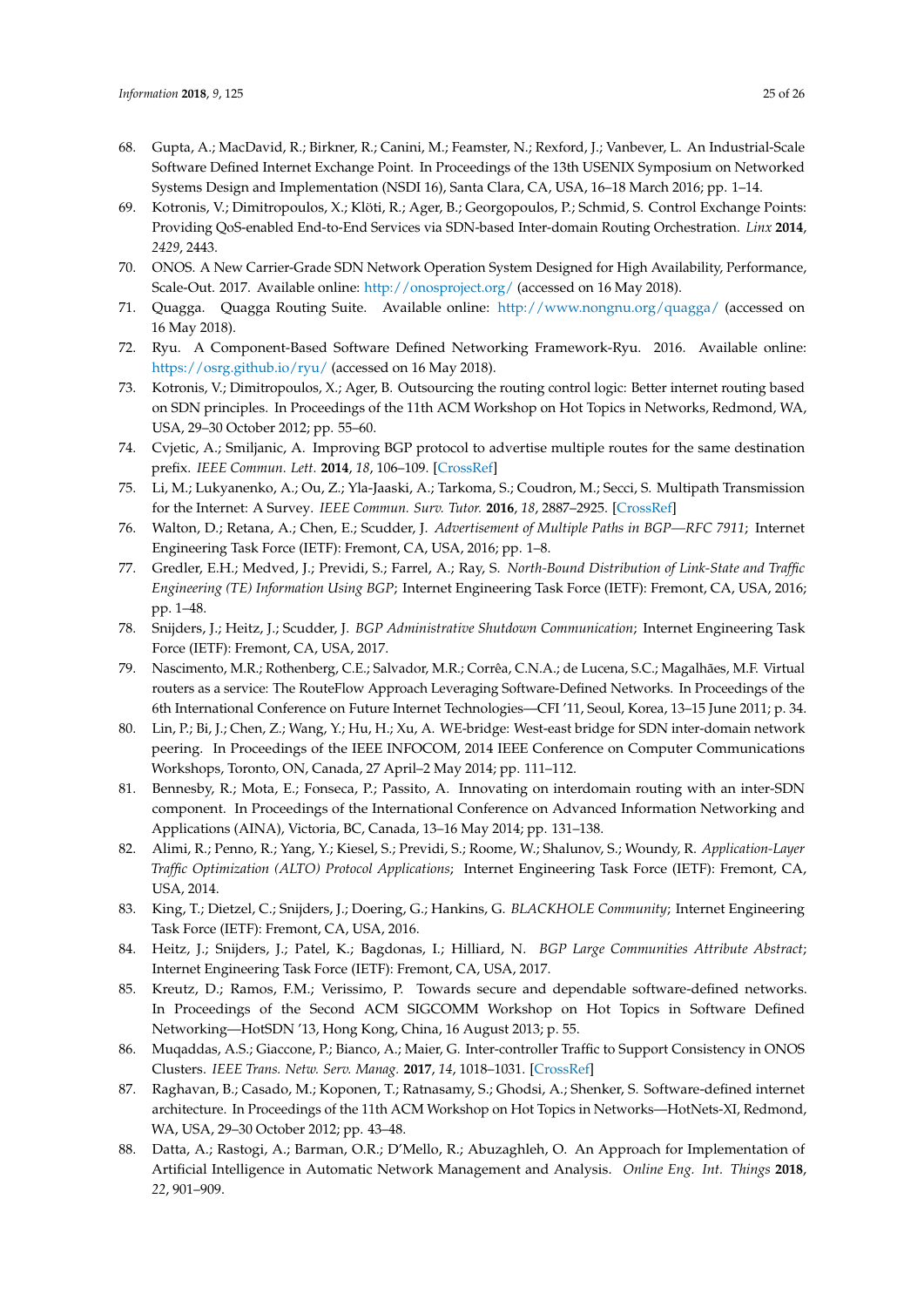- <span id="page-24-0"></span>68. Gupta, A.; MacDavid, R.; Birkner, R.; Canini, M.; Feamster, N.; Rexford, J.; Vanbever, L. An Industrial-Scale Software Defined Internet Exchange Point. In Proceedings of the 13th USENIX Symposium on Networked Systems Design and Implementation (NSDI 16), Santa Clara, CA, USA, 16–18 March 2016; pp. 1–14.
- <span id="page-24-1"></span>69. Kotronis, V.; Dimitropoulos, X.; Klöti, R.; Ager, B.; Georgopoulos, P.; Schmid, S. Control Exchange Points: Providing QoS-enabled End-to-End Services via SDN-based Inter-domain Routing Orchestration. *Linx* **2014**, *2429*, 2443.
- <span id="page-24-2"></span>70. ONOS. A New Carrier-Grade SDN Network Operation System Designed for High Availability, Performance, Scale-Out. 2017. Available online: <http://onosproject.org/> (accessed on 16 May 2018).
- <span id="page-24-3"></span>71. Quagga. Quagga Routing Suite. Available online: <http://www.nongnu.org/quagga/> (accessed on 16 May 2018).
- <span id="page-24-4"></span>72. Ryu. A Component-Based Software Defined Networking Framework-Ryu. 2016. Available online: <https://osrg.github.io/ryu/> (accessed on 16 May 2018).
- <span id="page-24-5"></span>73. Kotronis, V.; Dimitropoulos, X.; Ager, B. Outsourcing the routing control logic: Better internet routing based on SDN principles. In Proceedings of the 11th ACM Workshop on Hot Topics in Networks, Redmond, WA, USA, 29–30 October 2012; pp. 55–60.
- <span id="page-24-6"></span>74. Cvjetic, A.; Smiljanic, A. Improving BGP protocol to advertise multiple routes for the same destination prefix. *IEEE Commun. Lett.* **2014**, *18*, 106–109. [\[CrossRef\]](http://dx.doi.org/10.1109/LCOMM.2013.111513.131250)
- <span id="page-24-7"></span>75. Li, M.; Lukyanenko, A.; Ou, Z.; Yla-Jaaski, A.; Tarkoma, S.; Coudron, M.; Secci, S. Multipath Transmission for the Internet: A Survey. *IEEE Commun. Surv. Tutor.* **2016**, *18*, 2887–2925. [\[CrossRef\]](http://dx.doi.org/10.1109/COMST.2016.2586112)
- <span id="page-24-8"></span>76. Walton, D.; Retana, A.; Chen, E.; Scudder, J. *Advertisement of Multiple Paths in BGP—RFC 7911*; Internet Engineering Task Force (IETF): Fremont, CA, USA, 2016; pp. 1–8.
- <span id="page-24-9"></span>77. Gredler, E.H.; Medved, J.; Previdi, S.; Farrel, A.; Ray, S. *North-Bound Distribution of Link-State and Traffic Engineering (TE) Information Using BGP*; Internet Engineering Task Force (IETF): Fremont, CA, USA, 2016; pp. 1–48.
- <span id="page-24-10"></span>78. Snijders, J.; Heitz, J.; Scudder, J. *BGP Administrative Shutdown Communication*; Internet Engineering Task Force (IETF): Fremont, CA, USA, 2017.
- <span id="page-24-11"></span>79. Nascimento, M.R.; Rothenberg, C.E.; Salvador, M.R.; Corrêa, C.N.A.; de Lucena, S.C.; Magalhães, M.F. Virtual routers as a service: The RouteFlow Approach Leveraging Software-Defined Networks. In Proceedings of the 6th International Conference on Future Internet Technologies—CFI '11, Seoul, Korea, 13–15 June 2011; p. 34.
- <span id="page-24-12"></span>80. Lin, P.; Bi, J.; Chen, Z.; Wang, Y.; Hu, H.; Xu, A. WE-bridge: West-east bridge for SDN inter-domain network peering. In Proceedings of the IEEE INFOCOM, 2014 IEEE Conference on Computer Communications Workshops, Toronto, ON, Canada, 27 April–2 May 2014; pp. 111–112.
- <span id="page-24-13"></span>81. Bennesby, R.; Mota, E.; Fonseca, P.; Passito, A. Innovating on interdomain routing with an inter-SDN component. In Proceedings of the International Conference on Advanced Information Networking and Applications (AINA), Victoria, BC, Canada, 13–16 May 2014; pp. 131–138.
- <span id="page-24-14"></span>82. Alimi, R.; Penno, R.; Yang, Y.; Kiesel, S.; Previdi, S.; Roome, W.; Shalunov, S.; Woundy, R. *Application-Layer Traffic Optimization (ALTO) Protocol Applications*; Internet Engineering Task Force (IETF): Fremont, CA, USA, 2014.
- <span id="page-24-15"></span>83. King, T.; Dietzel, C.; Snijders, J.; Doering, G.; Hankins, G. *BLACKHOLE Community*; Internet Engineering Task Force (IETF): Fremont, CA, USA, 2016.
- <span id="page-24-16"></span>84. Heitz, J.; Snijders, J.; Patel, K.; Bagdonas, I.; Hilliard, N. *BGP Large Communities Attribute Abstract*; Internet Engineering Task Force (IETF): Fremont, CA, USA, 2017.
- <span id="page-24-17"></span>85. Kreutz, D.; Ramos, F.M.; Verissimo, P. Towards secure and dependable software-defined networks. In Proceedings of the Second ACM SIGCOMM Workshop on Hot Topics in Software Defined Networking—HotSDN '13, Hong Kong, China, 16 August 2013; p. 55.
- <span id="page-24-18"></span>86. Muqaddas, A.S.; Giaccone, P.; Bianco, A.; Maier, G. Inter-controller Traffic to Support Consistency in ONOS Clusters. *IEEE Trans. Netw. Serv. Manag.* **2017**, *14*, 1018–1031. [\[CrossRef\]](http://dx.doi.org/10.1109/TNSM.2017.2723477)
- <span id="page-24-19"></span>87. Raghavan, B.; Casado, M.; Koponen, T.; Ratnasamy, S.; Ghodsi, A.; Shenker, S. Software-defined internet architecture. In Proceedings of the 11th ACM Workshop on Hot Topics in Networks—HotNets-XI, Redmond, WA, USA, 29–30 October 2012; pp. 43–48.
- <span id="page-24-20"></span>88. Datta, A.; Rastogi, A.; Barman, O.R.; D'Mello, R.; Abuzaghleh, O. An Approach for Implementation of Artificial Intelligence in Automatic Network Management and Analysis. *Online Eng. Int. Things* **2018**, *22*, 901–909.